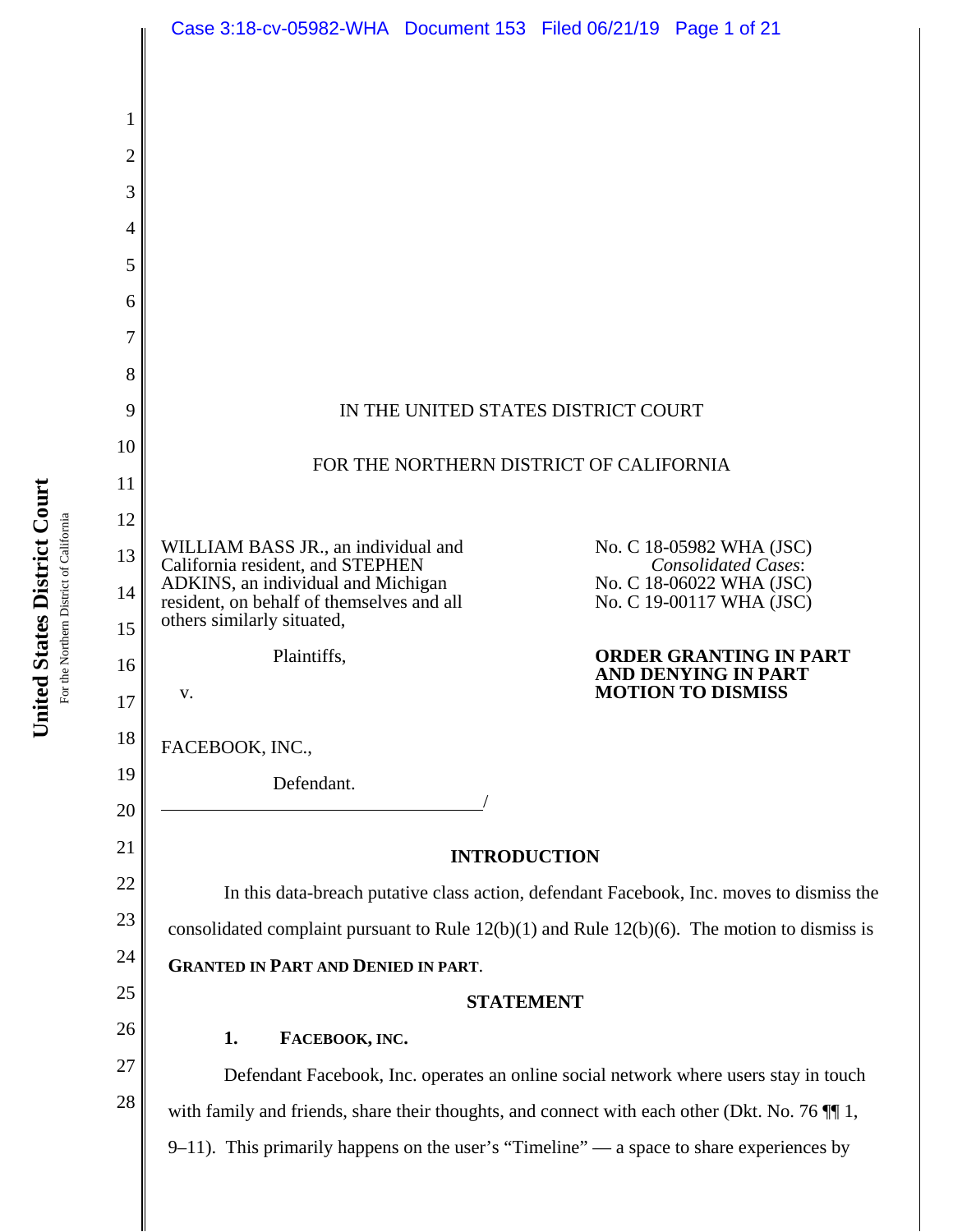|                | Case 3:18-cv-05982-WHA  Document 153  Filed 06/21/19  Page 1 of 21                                |  |  |                                                        |
|----------------|---------------------------------------------------------------------------------------------------|--|--|--------------------------------------------------------|
|                |                                                                                                   |  |  |                                                        |
| 1              |                                                                                                   |  |  |                                                        |
| $\overline{2}$ |                                                                                                   |  |  |                                                        |
| 3              |                                                                                                   |  |  |                                                        |
| 4              |                                                                                                   |  |  |                                                        |
| 5              |                                                                                                   |  |  |                                                        |
| 6              |                                                                                                   |  |  |                                                        |
| 7              |                                                                                                   |  |  |                                                        |
| 8              |                                                                                                   |  |  |                                                        |
| 9              | IN THE UNITED STATES DISTRICT COURT                                                               |  |  |                                                        |
| 10             |                                                                                                   |  |  |                                                        |
| 11             | FOR THE NORTHERN DISTRICT OF CALIFORNIA                                                           |  |  |                                                        |
| 12             |                                                                                                   |  |  |                                                        |
| 13             | WILLIAM BASS JR., an individual and<br>California resident, and STEPHEN                           |  |  | No. C 18-05982 WHA (JSC)<br><b>Consolidated Cases:</b> |
| 14             | ADKINS, an individual and Michigan<br>resident, on behalf of themselves and all                   |  |  | No. C 18-06022 WHA (JSC)<br>No. C 19-00117 WHA (JSC)   |
| 15             | others similarly situated,                                                                        |  |  |                                                        |
| 16             | Plaintiffs,                                                                                       |  |  | <b>ORDER GRANTING IN PART</b><br>AND DENYING IN PART   |
| 17             | V.                                                                                                |  |  | <b>MOTION TO DISMISS</b>                               |
| 18             | FACEBOOK, INC.,                                                                                   |  |  |                                                        |
| 19             | Defendant.                                                                                        |  |  |                                                        |
| 20             |                                                                                                   |  |  |                                                        |
| 21             | <b>INTRODUCTION</b>                                                                               |  |  |                                                        |
| 22             | In this data-breach putative class action, defendant Facebook, Inc. moves to dismiss the          |  |  |                                                        |
| 23             | consolidated complaint pursuant to Rule $12(b)(1)$ and Rule $12(b)(6)$ . The motion to dismiss is |  |  |                                                        |
| 24             | <b>GRANTED IN PART AND DENIED IN PART.</b>                                                        |  |  |                                                        |
| 25             | <b>STATEMENT</b>                                                                                  |  |  |                                                        |
| 26             | FACEBOOK, INC.<br>1.                                                                              |  |  |                                                        |
| 27             | Defendant Facebook, Inc. operates an online social network where users stay in touch              |  |  |                                                        |
| 28             | with family and friends, share their thoughts, and connect with each other (Dkt. No. 76 $\P$ 1,   |  |  |                                                        |
|                | $9-11$ ). This primarily happens on the user's "Timeline" — a space to share experiences by       |  |  |                                                        |
|                |                                                                                                   |  |  |                                                        |

United States District Court **United States District Court** For the Northern District of California For the Northern District of California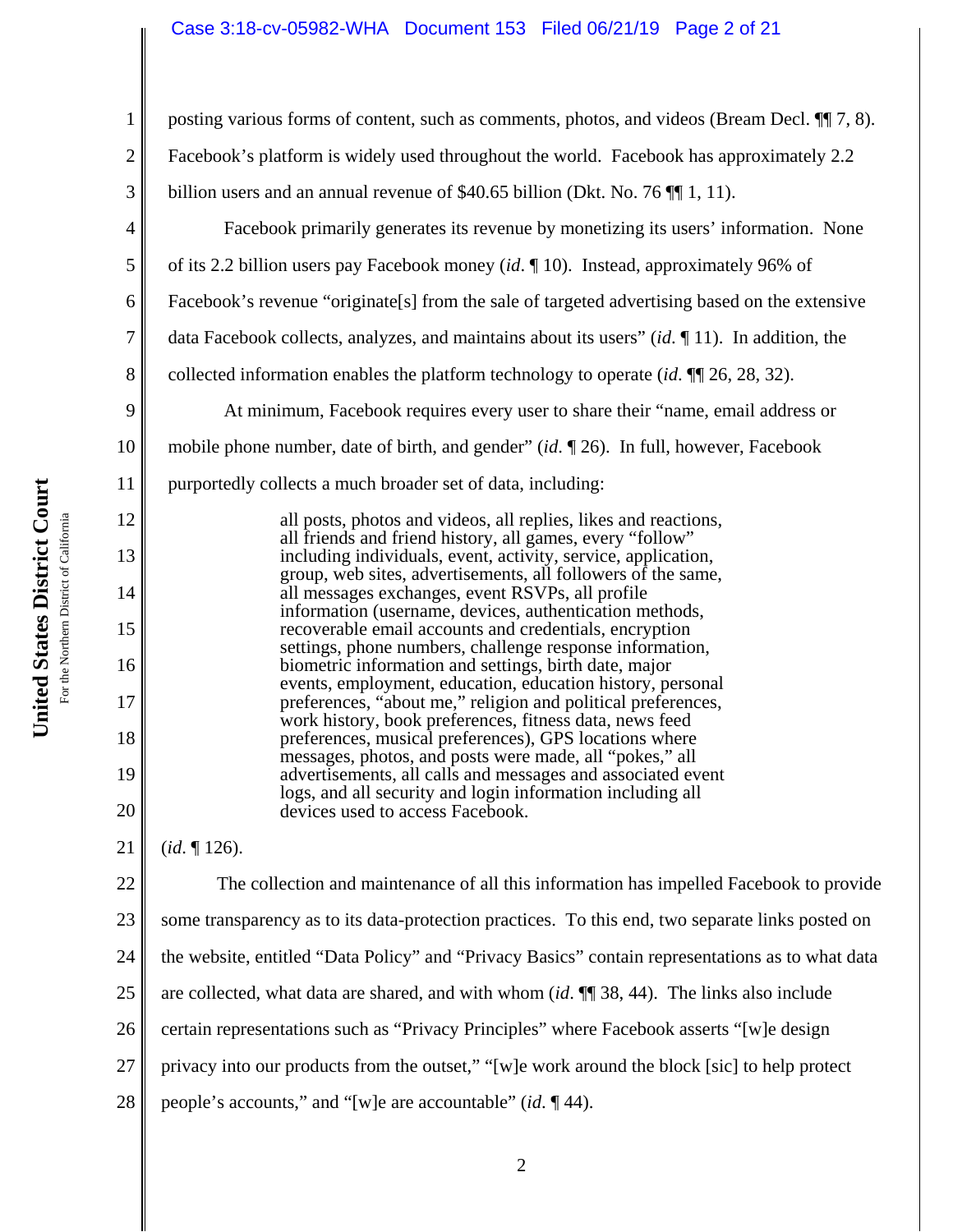## Case 3:18-cv-05982-WHA Document 153 Filed 06/21/19 Page 2 of 21

United States District Court **United States District Court** For the Northern District of California For the Northern District of California

1 2 3 4 5 6 7 8 9 10 11 12 13 14 15 16 17 18 19 20 21 22 23 24 25 26 27 28 posting various forms of content, such as comments, photos, and videos (Bream Decl. ¶¶ 7, 8). Facebook's platform is widely used throughout the world. Facebook has approximately 2.2 billion users and an annual revenue of \$40.65 billion (Dkt. No. 76  $\P$  1, 11). Facebook primarily generates its revenue by monetizing its users' information. None of its 2.2 billion users pay Facebook money (*id*. ¶ 10). Instead, approximately 96% of Facebook's revenue "originate[s] from the sale of targeted advertising based on the extensive data Facebook collects, analyzes, and maintains about its users" (*id*. ¶ 11). In addition, the collected information enables the platform technology to operate (*id*. ¶¶ 26, 28, 32). At minimum, Facebook requires every user to share their "name, email address or mobile phone number, date of birth, and gender" (*id*. ¶ 26). In full, however, Facebook purportedly collects a much broader set of data, including: all posts, photos and videos, all replies, likes and reactions, all friends and friend history, all games, every "follow" including individuals, event, activity, service, application, group, web sites, advertisements, all followers of the same, all messages exchanges, event RSVPs, all profile information (username, devices, authentication methods, recoverable email accounts and credentials, encryption settings, phone numbers, challenge response information, biometric information and settings, birth date, major events, employment, education, education history, personal preferences, "about me," religion and political preferences, work history, book preferences, fitness data, news feed preferences, musical preferences), GPS locations where messages, photos, and posts were made, all "pokes," all advertisements, all calls and messages and associated event logs, and all security and login information including all devices used to access Facebook. (*id*. ¶ 126). The collection and maintenance of all this information has impelled Facebook to provide some transparency as to its data-protection practices. To this end, two separate links posted on the website, entitled "Data Policy" and "Privacy Basics" contain representations as to what data are collected, what data are shared, and with whom (*id*. ¶¶ 38, 44). The links also include certain representations such as "Privacy Principles" where Facebook asserts "[w]e design privacy into our products from the outset," "[w]e work around the block [sic] to help protect people's accounts," and "[w]e are accountable" (*id*. ¶ 44).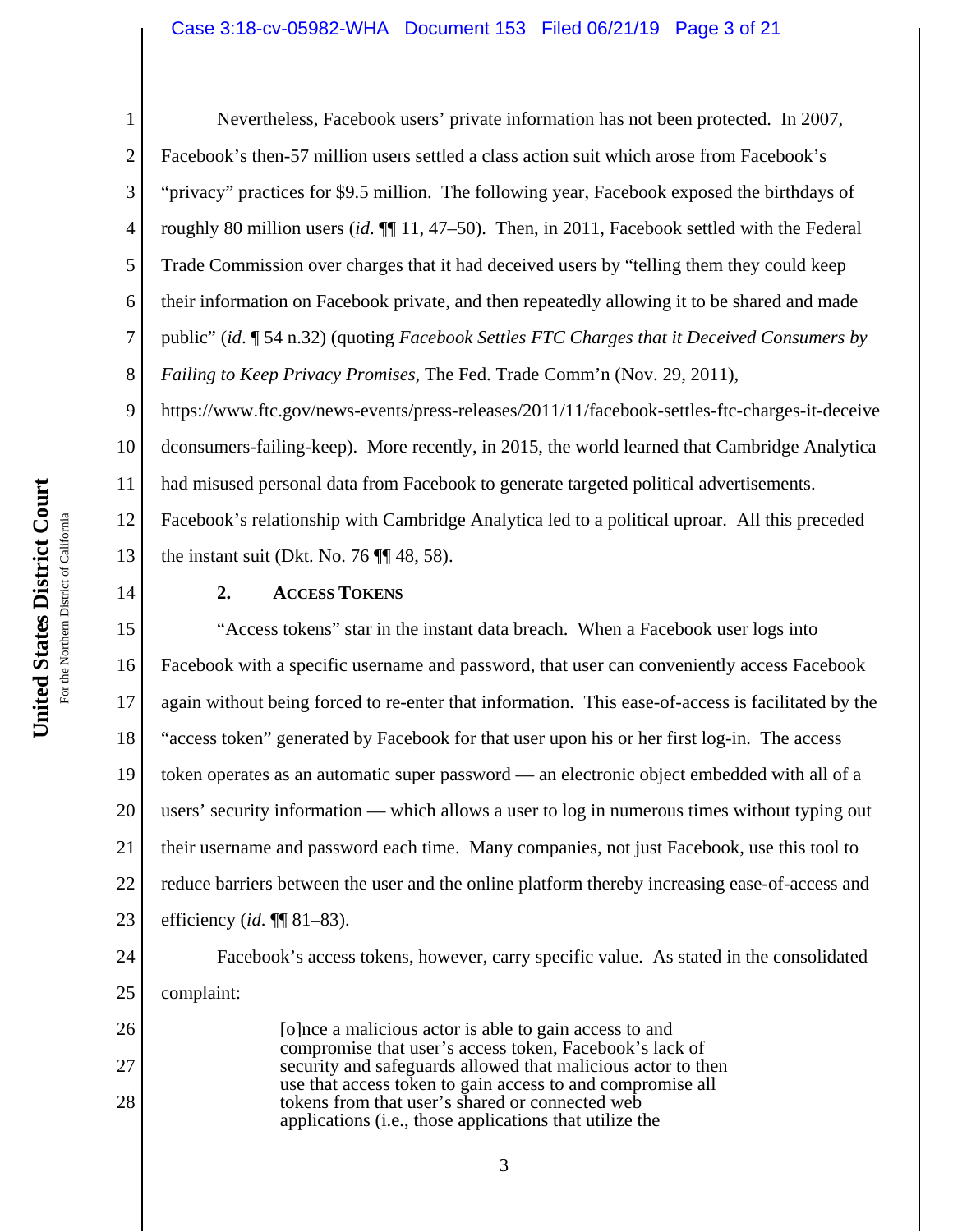### Case 3:18-cv-05982-WHA Document 153 Filed 06/21/19 Page 3 of 21

14

26

27

28

1 2 3 4 5 6 7 8 9 Nevertheless, Facebook users' private information has not been protected. In 2007, Facebook's then-57 million users settled a class action suit which arose from Facebook's "privacy" practices for \$9.5 million. The following year, Facebook exposed the birthdays of roughly 80 million users (*id*. ¶¶ 11, 47–50). Then, in 2011, Facebook settled with the Federal Trade Commission over charges that it had deceived users by "telling them they could keep their information on Facebook private, and then repeatedly allowing it to be shared and made public" (*id*. ¶ 54 n.32) (quoting *Facebook Settles FTC Charges that it Deceived Consumers by Failing to Keep Privacy Promises*, The Fed. Trade Comm'n (Nov. 29, 2011), https://www.ftc.gov/news-events/press-releases/2011/11/facebook-settles-ftc-charges-it-deceive

10 11 12 13 dconsumers-failing-keep). More recently, in 2015, the world learned that Cambridge Analytica had misused personal data from Facebook to generate targeted political advertisements. Facebook's relationship with Cambridge Analytica led to a political uproar. All this preceded the instant suit (Dkt. No. 76  $\P$  $\P$  48, 58).

**2. ACCESS TOKENS**

15 16 17 18 19 20 21 22 23 "Access tokens" star in the instant data breach. When a Facebook user logs into Facebook with a specific username and password, that user can conveniently access Facebook again without being forced to re-enter that information. This ease-of-access is facilitated by the "access token" generated by Facebook for that user upon his or her first log-in. The access token operates as an automatic super password — an electronic object embedded with all of a users' security information — which allows a user to log in numerous times without typing out their username and password each time. Many companies, not just Facebook, use this tool to reduce barriers between the user and the online platform thereby increasing ease-of-access and efficiency (*id*. ¶¶ 81–83).

24 25 Facebook's access tokens, however, carry specific value. As stated in the consolidated complaint:

[o]nce a malicious actor is able to gain access to and compromise that user's access token, Facebook's lack of security and safeguards allowed that malicious actor to then use that access token to gain access to and compromise all tokens from that user's shared or connected web applications (i.e., those applications that utilize the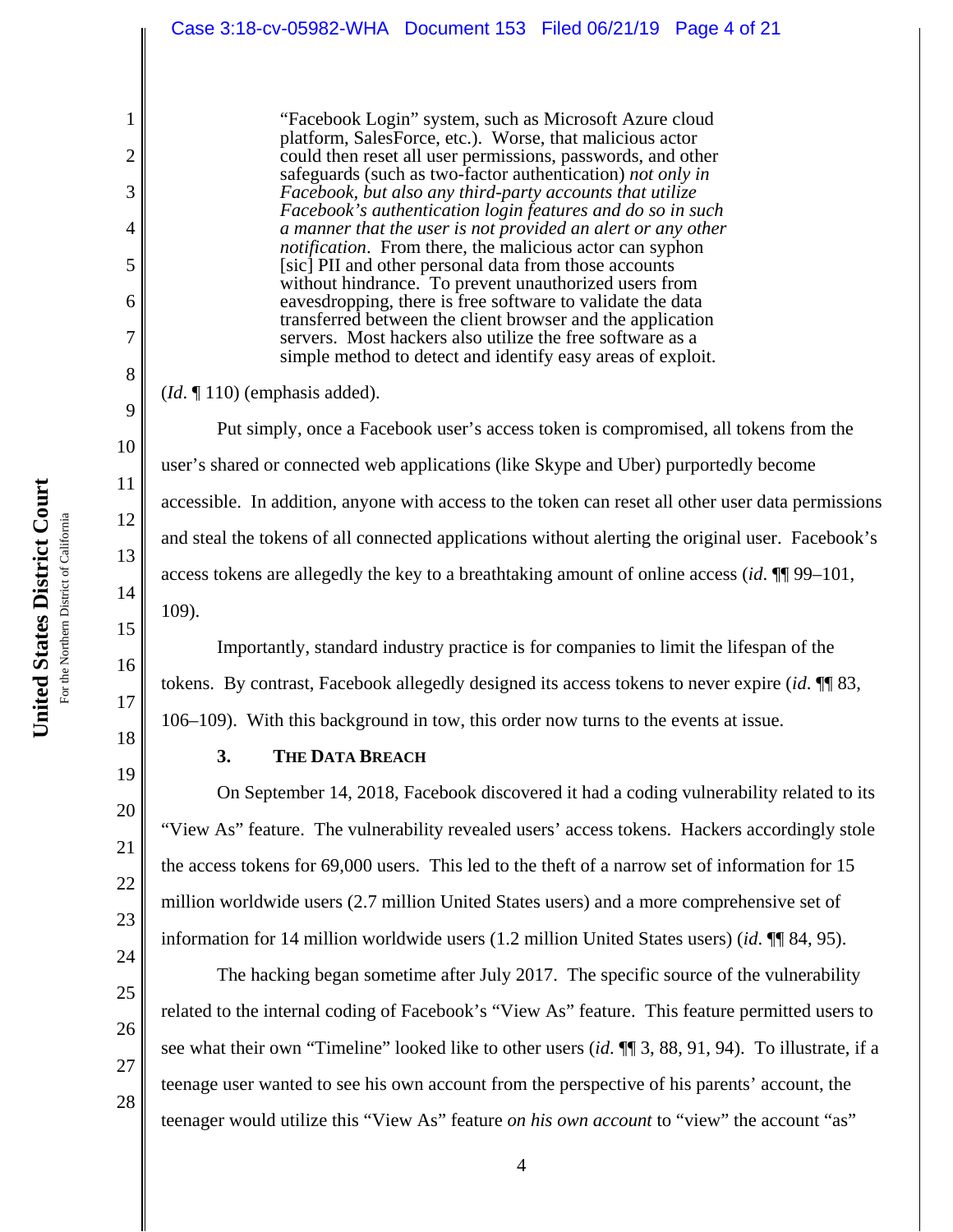| Case 3:18-cv-05982-WHA  Document 153  Filed 06/21/19  Page 4 of 21                                                                                                                                                                                                                                                                                                                                                                                                                                                                                                                                                                                                                                                                                                                                                                                                                      |
|-----------------------------------------------------------------------------------------------------------------------------------------------------------------------------------------------------------------------------------------------------------------------------------------------------------------------------------------------------------------------------------------------------------------------------------------------------------------------------------------------------------------------------------------------------------------------------------------------------------------------------------------------------------------------------------------------------------------------------------------------------------------------------------------------------------------------------------------------------------------------------------------|
| "Facebook Login" system, such as Microsoft Azure cloud<br>platform, SalesForce, etc.). Worse, that malicious actor<br>could then reset all user permissions, passwords, and other<br>safeguards (such as two-factor authentication) not only in<br>Facebook, but also any third-party accounts that utilize<br>Facebook's authentication login features and do so in such<br>a manner that the user is not provided an alert or any other<br><i>notification</i> . From there, the malicious actor can syphon<br>[sic] PII and other personal data from those accounts<br>without hindrance. To prevent unauthorized users from<br>eavesdropping, there is free software to validate the data<br>transferred between the client browser and the application<br>servers. Most hackers also utilize the free software as a<br>simple method to detect and identify easy areas of exploit. |
| $(Id. \P 110)$ (emphasis added).                                                                                                                                                                                                                                                                                                                                                                                                                                                                                                                                                                                                                                                                                                                                                                                                                                                        |
| Put simply, once a Facebook user's access token is compromised, all tokens from the                                                                                                                                                                                                                                                                                                                                                                                                                                                                                                                                                                                                                                                                                                                                                                                                     |
| user's shared or connected web applications (like Skype and Uber) purportedly become                                                                                                                                                                                                                                                                                                                                                                                                                                                                                                                                                                                                                                                                                                                                                                                                    |
| equipped in addition, envanged the sequence to the tolerance and react all other user data permission                                                                                                                                                                                                                                                                                                                                                                                                                                                                                                                                                                                                                                                                                                                                                                                   |

accessible. In addition, anyone with access to the token can reset all other user data permissions and steal the tokens of all connected applications without alerting the original user. Facebook's access tokens are allegedly the key to a breathtaking amount of online access (*id*. ¶¶ 99–101, 109).

Importantly, standard industry practice is for companies to limit the lifespan of the tokens. By contrast, Facebook allegedly designed its access tokens to never expire (*id*. ¶¶ 83, 106–109). With this background in tow, this order now turns to the events at issue.

1

2

3

4

5

6

7

8

9

10

11

12

13

14

15

16

17

18

19

20

21

22

23

24

# **3. THE DATA BREACH**

On September 14, 2018, Facebook discovered it had a coding vulnerability related to its "View As" feature. The vulnerability revealed users' access tokens. Hackers accordingly stole the access tokens for 69,000 users. This led to the theft of a narrow set of information for 15 million worldwide users (2.7 million United States users) and a more comprehensive set of information for 14 million worldwide users (1.2 million United States users) (*id*. ¶¶ 84, 95).

The hacking began sometime after July 2017. The specific source of the vulnerability

related to the internal coding of Facebook's "View As" feature. This feature permitted users to

see what their own "Timeline" looked like to other users (*id*. ¶¶ 3, 88, 91, 94). To illustrate, if a teenage user wanted to see his own account from the perspective of his parents' account, the teenager would utilize this "View As" feature *on his own account* to "view" the account "as"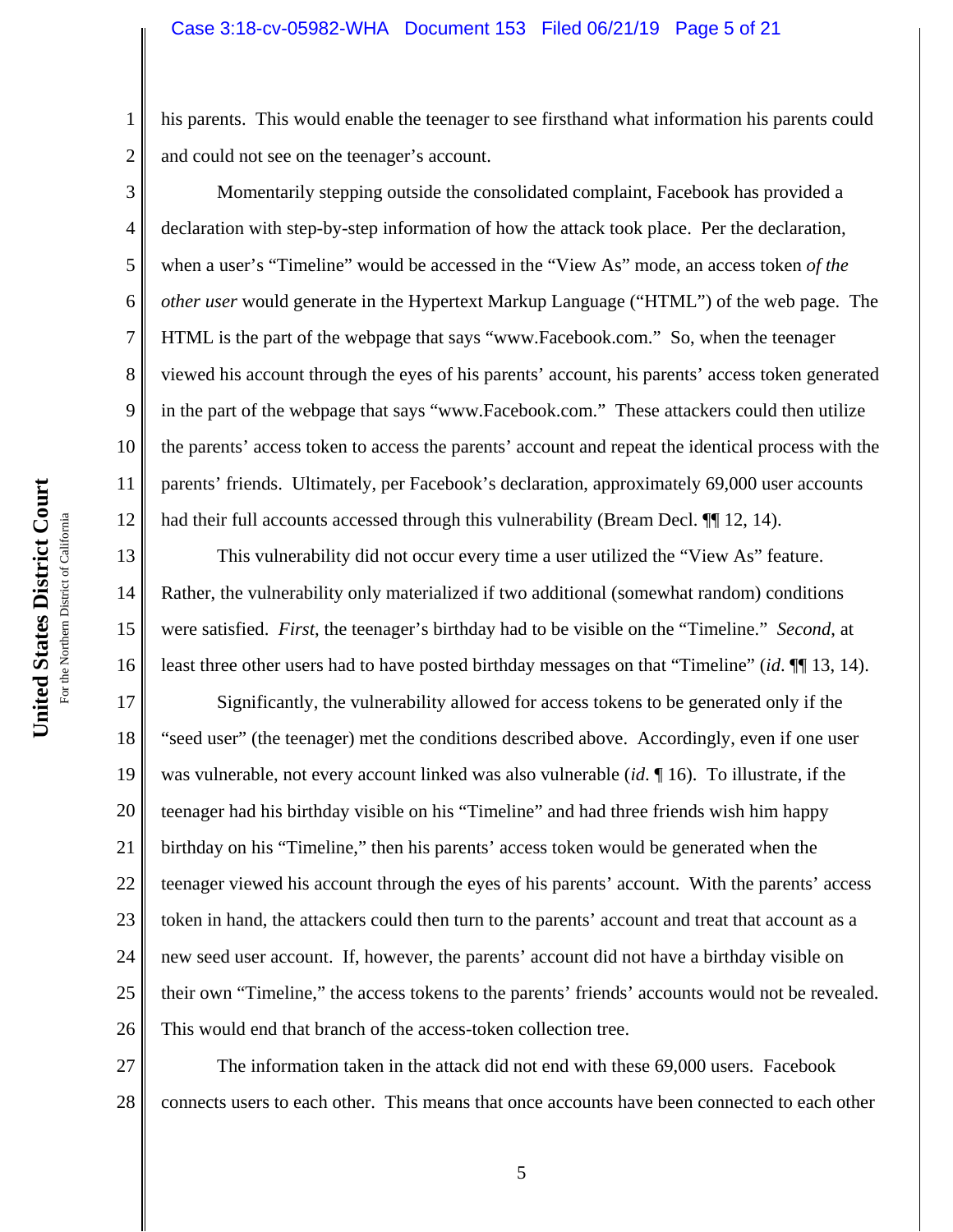his parents. This would enable the teenager to see firsthand what information his parents could and could not see on the teenager's account.

Momentarily stepping outside the consolidated complaint, Facebook has provided a declaration with step-by-step information of how the attack took place. Per the declaration, when a user's "Timeline" would be accessed in the "View As" mode, an access token *of the other user* would generate in the Hypertext Markup Language ("HTML") of the web page. The HTML is the part of the webpage that says "www.Facebook.com." So, when the teenager viewed his account through the eyes of his parents' account, his parents' access token generated in the part of the webpage that says "www.Facebook.com." These attackers could then utilize the parents' access token to access the parents' account and repeat the identical process with the parents' friends. Ultimately, per Facebook's declaration, approximately 69,000 user accounts had their full accounts accessed through this vulnerability (Bream Decl.  $\P$  12, 14).

13 14 15 16 This vulnerability did not occur every time a user utilized the "View As" feature. Rather, the vulnerability only materialized if two additional (somewhat random) conditions were satisfied. *First*, the teenager's birthday had to be visible on the "Timeline." *Second*, at least three other users had to have posted birthday messages on that "Timeline" (*id*. ¶¶ 13, 14).

17 18 19 20 21 22 23 24 25 26 Significantly, the vulnerability allowed for access tokens to be generated only if the "seed user" (the teenager) met the conditions described above. Accordingly, even if one user was vulnerable, not every account linked was also vulnerable (*id*. ¶ 16). To illustrate, if the teenager had his birthday visible on his "Timeline" and had three friends wish him happy birthday on his "Timeline," then his parents' access token would be generated when the teenager viewed his account through the eyes of his parents' account. With the parents' access token in hand, the attackers could then turn to the parents' account and treat that account as a new seed user account. If, however, the parents' account did not have a birthday visible on their own "Timeline," the access tokens to the parents' friends' accounts would not be revealed. This would end that branch of the access-token collection tree.

27 28 The information taken in the attack did not end with these 69,000 users. Facebook connects users to each other. This means that once accounts have been connected to each other

1

2

3

4

5

6

7

8

9

10

11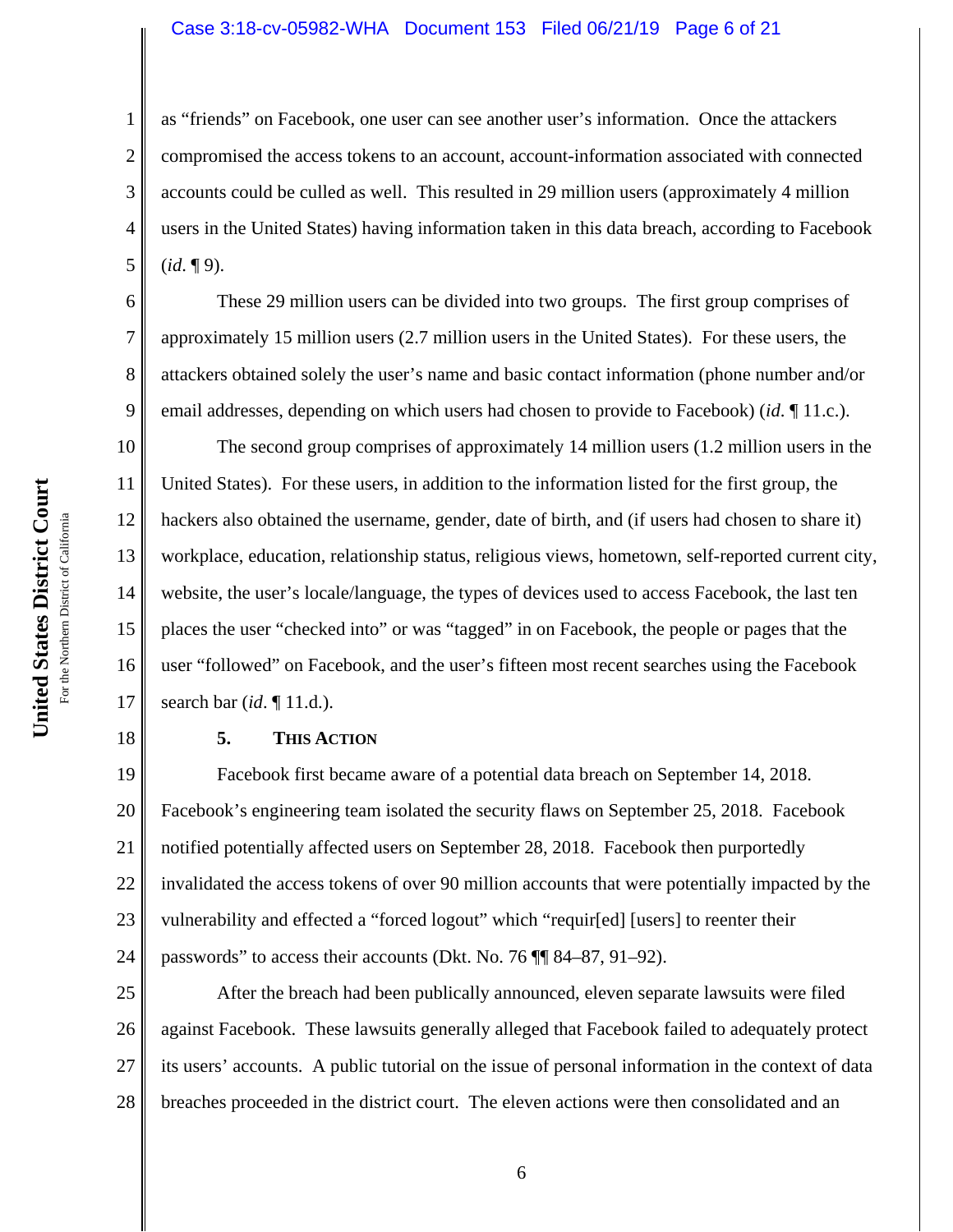#### Case 3:18-cv-05982-WHA Document 153 Filed 06/21/19 Page 6 of 21

as "friends" on Facebook, one user can see another user's information. Once the attackers compromised the access tokens to an account, account-information associated with connected accounts could be culled as well. This resulted in 29 million users (approximately 4 million users in the United States) having information taken in this data breach, according to Facebook (*id*. ¶ 9).

These 29 million users can be divided into two groups. The first group comprises of approximately 15 million users (2.7 million users in the United States). For these users, the attackers obtained solely the user's name and basic contact information (phone number and/or email addresses, depending on which users had chosen to provide to Facebook) (*id*. ¶ 11.c.).

10 11 12 13 14 15 16 17 The second group comprises of approximately 14 million users (1.2 million users in the United States). For these users, in addition to the information listed for the first group, the hackers also obtained the username, gender, date of birth, and (if users had chosen to share it) workplace, education, relationship status, religious views, hometown, self-reported current city, website, the user's locale/language, the types of devices used to access Facebook, the last ten places the user "checked into" or was "tagged" in on Facebook, the people or pages that the user "followed" on Facebook, and the user's fifteen most recent searches using the Facebook search bar (*id*. ¶ 11.d.).

### **5. THIS ACTION**

19 20 21 22 23 24 Facebook first became aware of a potential data breach on September 14, 2018. Facebook's engineering team isolated the security flaws on September 25, 2018. Facebook notified potentially affected users on September 28, 2018. Facebook then purportedly invalidated the access tokens of over 90 million accounts that were potentially impacted by the vulnerability and effected a "forced logout" which "requir[ed] [users] to reenter their passwords" to access their accounts (Dkt. No. 76 ¶¶ 84–87, 91–92).

25 26 27 28 After the breach had been publically announced, eleven separate lawsuits were filed against Facebook. These lawsuits generally alleged that Facebook failed to adequately protect its users' accounts. A public tutorial on the issue of personal information in the context of data breaches proceeded in the district court. The eleven actions were then consolidated and an

1

2

3

4

5

6

7

8

9

18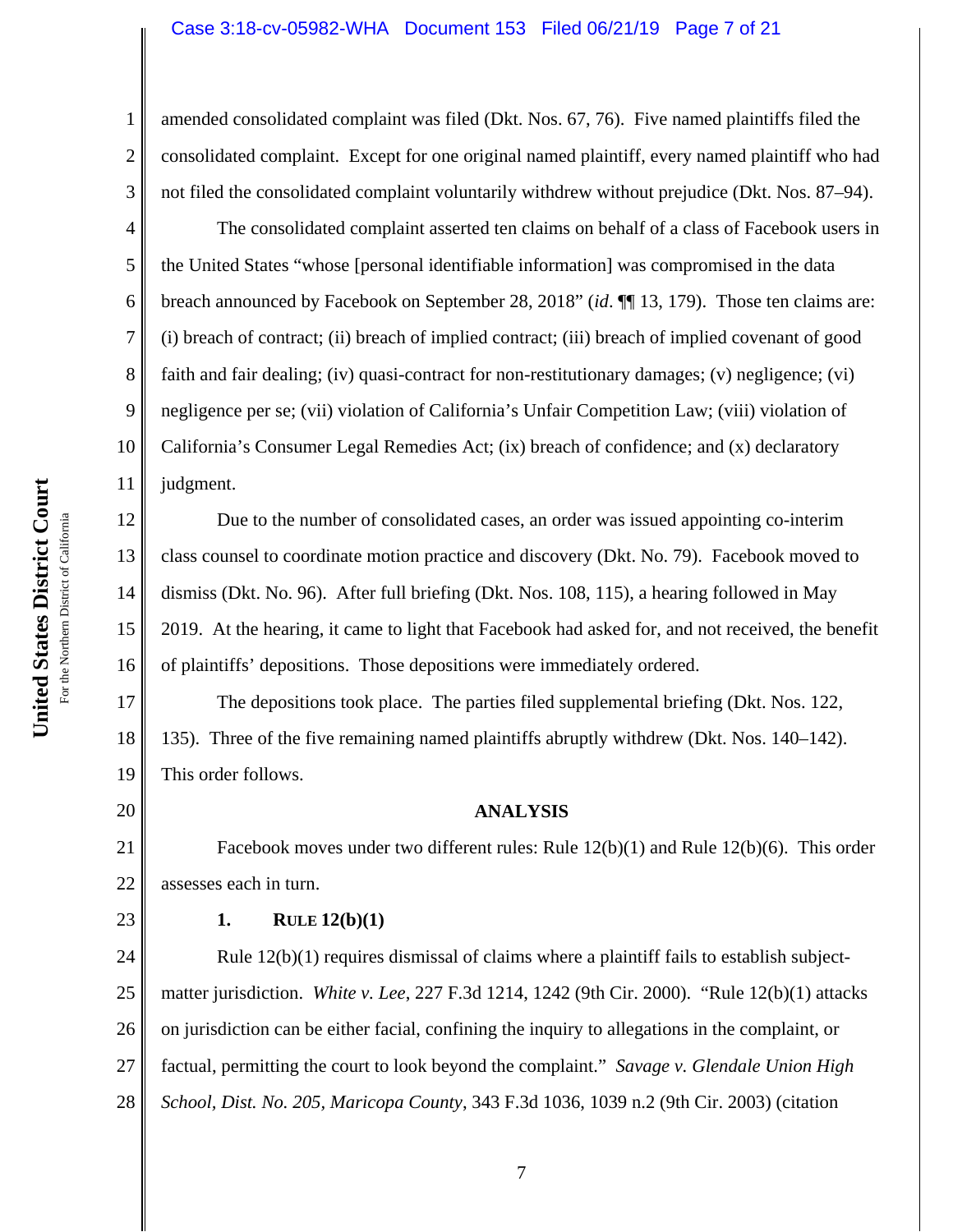#### Case 3:18-cv-05982-WHA Document 153 Filed 06/21/19 Page 7 of 21

amended consolidated complaint was filed (Dkt. Nos. 67, 76). Five named plaintiffs filed the consolidated complaint. Except for one original named plaintiff, every named plaintiff who had not filed the consolidated complaint voluntarily withdrew without prejudice (Dkt. Nos. 87–94).

4 5 10 The consolidated complaint asserted ten claims on behalf of a class of Facebook users in the United States "whose [personal identifiable information] was compromised in the data breach announced by Facebook on September 28, 2018" (*id*. ¶¶ 13, 179). Those ten claims are: (i) breach of contract; (ii) breach of implied contract; (iii) breach of implied covenant of good faith and fair dealing; (iv) quasi-contract for non-restitutionary damages; (v) negligence; (vi) negligence per se; (vii) violation of California's Unfair Competition Law; (viii) violation of California's Consumer Legal Remedies Act; (ix) breach of confidence; and (x) declaratory judgment.

12 13 14 15 16 Due to the number of consolidated cases, an order was issued appointing co-interim class counsel to coordinate motion practice and discovery (Dkt. No. 79). Facebook moved to dismiss (Dkt. No. 96). After full briefing (Dkt. Nos. 108, 115), a hearing followed in May 2019. At the hearing, it came to light that Facebook had asked for, and not received, the benefit of plaintiffs' depositions. Those depositions were immediately ordered.

17 18 19 The depositions took place. The parties filed supplemental briefing (Dkt. Nos. 122, 135). Three of the five remaining named plaintiffs abruptly withdrew (Dkt. Nos. 140–142). This order follows.

20

23

1

2

3

6

7

8

9

11

## **ANALYSIS**

21 22 Facebook moves under two different rules: Rule 12(b)(1) and Rule 12(b)(6). This order assesses each in turn.

### **1. RULE 12(b)(1)**

24 25 26 27 28 Rule  $12(b)(1)$  requires dismissal of claims where a plaintiff fails to establish subjectmatter jurisdiction. *White v. Lee*, 227 F.3d 1214, 1242 (9th Cir. 2000). "Rule 12(b)(1) attacks on jurisdiction can be either facial, confining the inquiry to allegations in the complaint, or factual, permitting the court to look beyond the complaint." *Savage v. Glendale Union High School, Dist. No. 205, Maricopa County*, 343 F.3d 1036, 1039 n.2 (9th Cir. 2003) (citation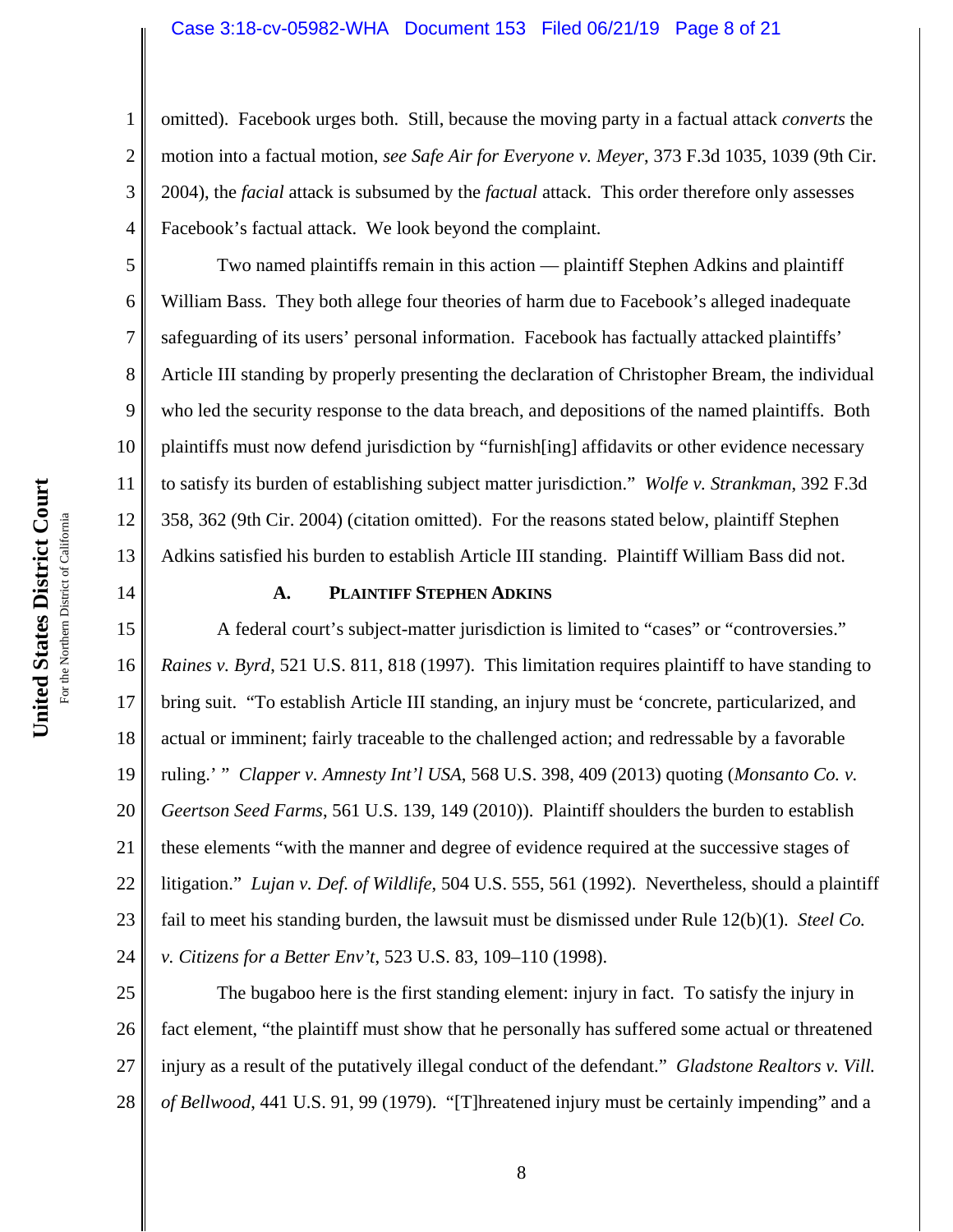#### Case 3:18-cv-05982-WHA Document 153 Filed 06/21/19 Page 8 of 21

omitted). Facebook urges both. Still, because the moving party in a factual attack *converts* the motion into a factual motion, *see Safe Air for Everyone v. Meyer*, 373 F.3d 1035, 1039 (9th Cir. 2004), the *facial* attack is subsumed by the *factual* attack. This order therefore only assesses Facebook's factual attack. We look beyond the complaint.

Two named plaintiffs remain in this action — plaintiff Stephen Adkins and plaintiff William Bass. They both allege four theories of harm due to Facebook's alleged inadequate safeguarding of its users' personal information. Facebook has factually attacked plaintiffs' Article III standing by properly presenting the declaration of Christopher Bream, the individual who led the security response to the data breach, and depositions of the named plaintiffs. Both plaintiffs must now defend jurisdiction by "furnish[ing] affidavits or other evidence necessary to satisfy its burden of establishing subject matter jurisdiction." *Wolfe v. Strankman*, 392 F.3d 358, 362 (9th Cir. 2004) (citation omitted). For the reasons stated below, plaintiff Stephen Adkins satisfied his burden to establish Article III standing. Plaintiff William Bass did not.

14

1

2

3

4

5

6

7

8

9

10

11

12

13

#### **A. PLAINTIFF STEPHEN ADKINS**

15 16 17 18 19 20 21 22 23 24 A federal court's subject-matter jurisdiction is limited to "cases" or "controversies." *Raines v. Byrd*, 521 U.S. 811, 818 (1997). This limitation requires plaintiff to have standing to bring suit. "To establish Article III standing, an injury must be 'concrete, particularized, and actual or imminent; fairly traceable to the challenged action; and redressable by a favorable ruling.' " *Clapper v. Amnesty Int'l USA*, 568 U.S. 398, 409 (2013) quoting (*Monsanto Co. v. Geertson Seed Farms*, 561 U.S. 139, 149 (2010)). Plaintiff shoulders the burden to establish these elements "with the manner and degree of evidence required at the successive stages of litigation." *Lujan v. Def. of Wildlife*, 504 U.S. 555, 561 (1992). Nevertheless, should a plaintiff fail to meet his standing burden, the lawsuit must be dismissed under Rule 12(b)(1). *Steel Co. v. Citizens for a Better Env't*, 523 U.S. 83, 109–110 (1998).

25 26 27 28 The bugaboo here is the first standing element: injury in fact. To satisfy the injury in fact element, "the plaintiff must show that he personally has suffered some actual or threatened injury as a result of the putatively illegal conduct of the defendant." *Gladstone Realtors v. Vill. of Bellwood*, 441 U.S. 91, 99 (1979). "[T]hreatened injury must be certainly impending" and a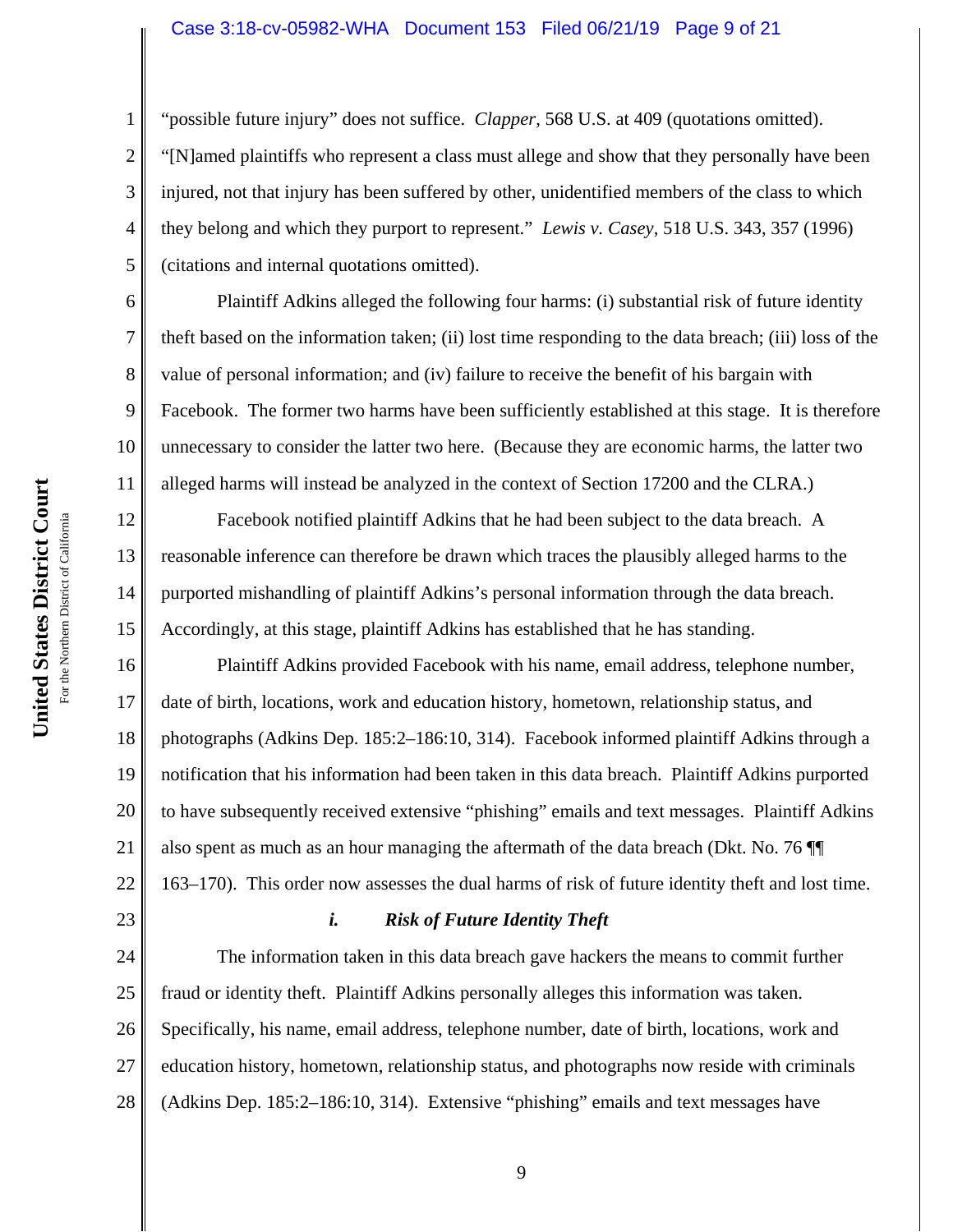#### Case 3:18-cv-05982-WHA Document 153 Filed 06/21/19 Page 9 of 21

"possible future injury" does not suffice. *Clapper*, 568 U.S. at 409 (quotations omitted).

"[N]amed plaintiffs who represent a class must allege and show that they personally have been injured, not that injury has been suffered by other, unidentified members of the class to which they belong and which they purport to represent." *Lewis v. Casey*, 518 U.S. 343, 357 (1996) (citations and internal quotations omitted).

Plaintiff Adkins alleged the following four harms: (i) substantial risk of future identity theft based on the information taken; (ii) lost time responding to the data breach; (iii) loss of the value of personal information; and (iv) failure to receive the benefit of his bargain with Facebook. The former two harms have been sufficiently established at this stage. It is therefore unnecessary to consider the latter two here. (Because they are economic harms, the latter two alleged harms will instead be analyzed in the context of Section 17200 and the CLRA.)

Facebook notified plaintiff Adkins that he had been subject to the data breach. A reasonable inference can therefore be drawn which traces the plausibly alleged harms to the purported mishandling of plaintiff Adkins's personal information through the data breach. Accordingly, at this stage, plaintiff Adkins has established that he has standing.

16 17 18 19 20 21 22 Plaintiff Adkins provided Facebook with his name, email address, telephone number, date of birth, locations, work and education history, hometown, relationship status, and photographs (Adkins Dep. 185:2–186:10, 314). Facebook informed plaintiff Adkins through a notification that his information had been taken in this data breach. Plaintiff Adkins purported to have subsequently received extensive "phishing" emails and text messages. Plaintiff Adkins also spent as much as an hour managing the aftermath of the data breach (Dkt. No. 76 ¶¶ 163–170).This order now assesses the dual harms of risk of future identity theft and lost time.

## *i. Risk of Future Identity Theft*

24 25 26 27 28 The information taken in this data breach gave hackers the means to commit further fraud or identity theft. Plaintiff Adkins personally alleges this information was taken. Specifically, his name, email address, telephone number, date of birth, locations, work and education history, hometown, relationship status, and photographs now reside with criminals (Adkins Dep. 185:2–186:10, 314). Extensive "phishing" emails and text messages have

1

2

3

4

5

6

7

8

9

10

11

12

13

14

15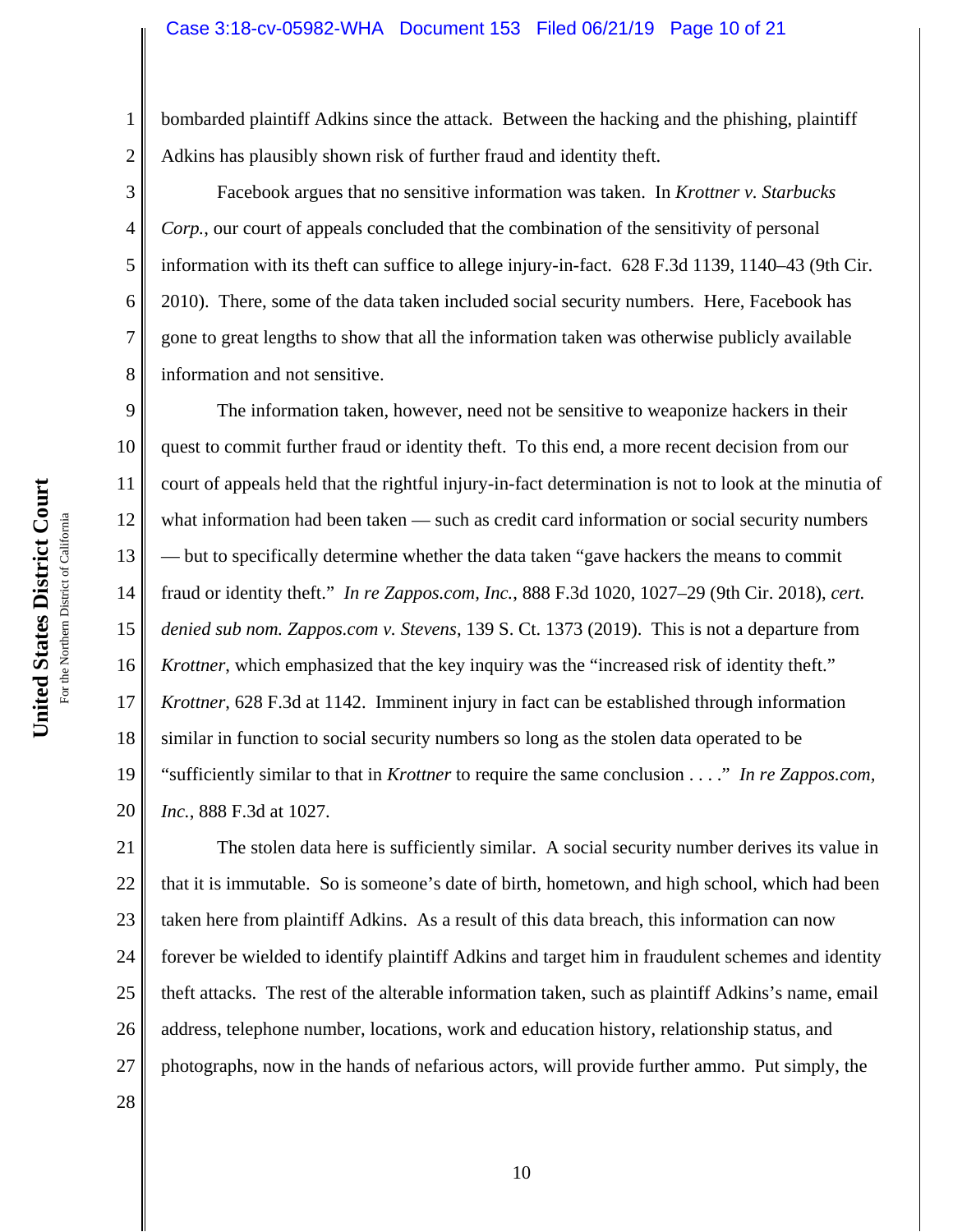2 bombarded plaintiff Adkins since the attack. Between the hacking and the phishing, plaintiff Adkins has plausibly shown risk of further fraud and identity theft.

Facebook argues that no sensitive information was taken. In *Krottner v. Starbucks Corp.*, our court of appeals concluded that the combination of the sensitivity of personal information with its theft can suffice to allege injury-in-fact. 628 F.3d 1139, 1140–43 (9th Cir. 2010). There, some of the data taken included social security numbers. Here, Facebook has gone to great lengths to show that all the information taken was otherwise publicly available information and not sensitive.

9 10 11 12 13 14 15 16 17 18 19 20 The information taken, however, need not be sensitive to weaponize hackers in their quest to commit further fraud or identity theft. To this end, a more recent decision from our court of appeals held that the rightful injury-in-fact determination is not to look at the minutia of what information had been taken — such as credit card information or social security numbers — but to specifically determine whether the data taken "gave hackers the means to commit fraud or identity theft." *In re Zappos.com, Inc.*, 888 F.3d 1020, 1027–29 (9th Cir. 2018), *cert. denied sub nom. Zappos.com v. Stevens*, 139 S. Ct. 1373 (2019). This is not a departure from *Krottner*, which emphasized that the key inquiry was the "increased risk of identity theft." *Krottner*, 628 F.3d at 1142. Imminent injury in fact can be established through information similar in function to social security numbers so long as the stolen data operated to be "sufficiently similar to that in *Krottner* to require the same conclusion . . . ." *In re Zappos.com, Inc.*, 888 F.3d at 1027.

21 22 23 24 25 26 27 The stolen data here is sufficiently similar. A social security number derives its value in that it is immutable. So is someone's date of birth, hometown, and high school, which had been taken here from plaintiff Adkins. As a result of this data breach, this information can now forever be wielded to identify plaintiff Adkins and target him in fraudulent schemes and identity theft attacks. The rest of the alterable information taken, such as plaintiff Adkins's name, email address, telephone number, locations, work and education history, relationship status, and photographs, now in the hands of nefarious actors, will provide further ammo. Put simply, the

United States District Court **United States District Court** For the Northern District of California For the Northern District of California 1

3

4

5

6

7

8

28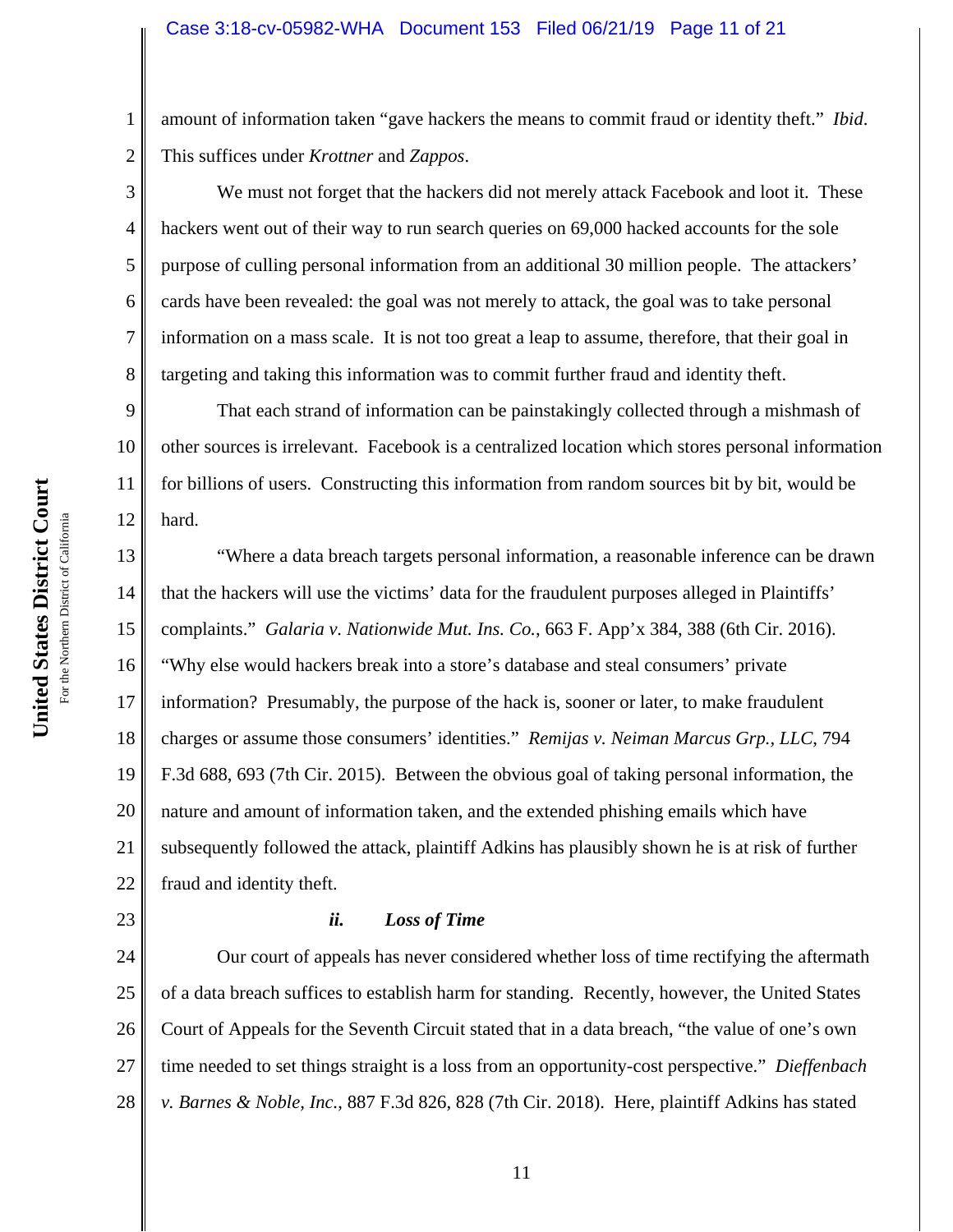2 amount of information taken "gave hackers the means to commit fraud or identity theft." *Ibid*. This suffices under *Krottner* and *Zappos*.

We must not forget that the hackers did not merely attack Facebook and loot it. These hackers went out of their way to run search queries on 69,000 hacked accounts for the sole purpose of culling personal information from an additional 30 million people. The attackers' cards have been revealed: the goal was not merely to attack, the goal was to take personal information on a mass scale. It is not too great a leap to assume, therefore, that their goal in targeting and taking this information was to commit further fraud and identity theft.

9 10 11 12 That each strand of information can be painstakingly collected through a mishmash of other sources is irrelevant. Facebook is a centralized location which stores personal information for billions of users. Constructing this information from random sources bit by bit, would be hard.

13 14 15 16 17 18 19 20 21 22 "Where a data breach targets personal information, a reasonable inference can be drawn that the hackers will use the victims' data for the fraudulent purposes alleged in Plaintiffs' complaints." *Galaria v. Nationwide Mut. Ins. Co.*, 663 F. App'x 384, 388 (6th Cir. 2016). "Why else would hackers break into a store's database and steal consumers' private information? Presumably, the purpose of the hack is, sooner or later, to make fraudulent charges or assume those consumers' identities." *Remijas v. Neiman Marcus Grp., LLC*, 794 F.3d 688, 693 (7th Cir. 2015). Between the obvious goal of taking personal information, the nature and amount of information taken, and the extended phishing emails which have subsequently followed the attack, plaintiff Adkins has plausibly shown he is at risk of further fraud and identity theft.

## *ii. Loss of Time*

24 25 26 27 28 Our court of appeals has never considered whether loss of time rectifying the aftermath of a data breach suffices to establish harm for standing. Recently, however, the United States Court of Appeals for the Seventh Circuit stated that in a data breach, "the value of one's own time needed to set things straight is a loss from an opportunity-cost perspective." *Dieffenbach v. Barnes & Noble, Inc.*, 887 F.3d 826, 828 (7th Cir. 2018). Here, plaintiff Adkins has stated

1

3

4

5

6

7

8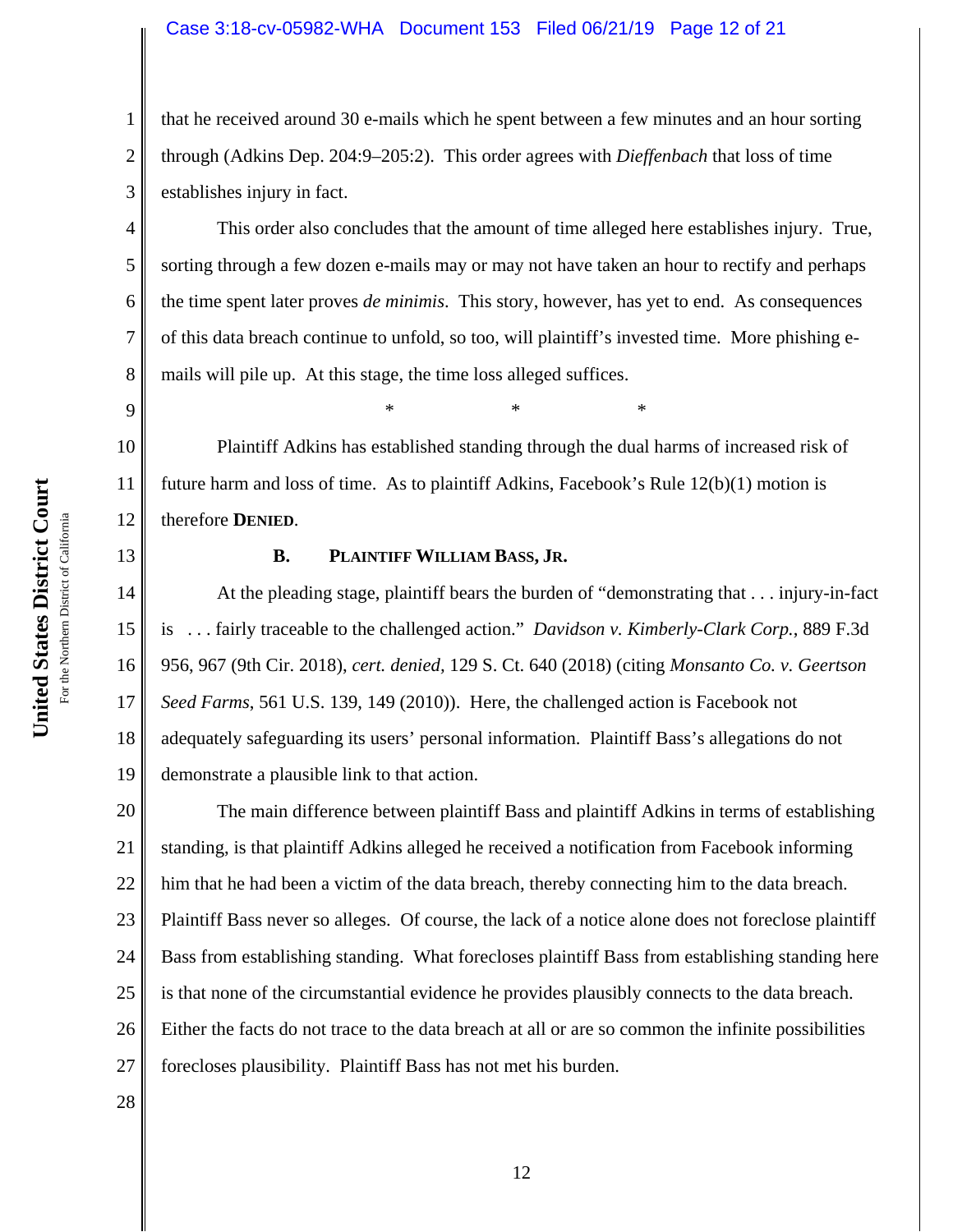#### Case 3:18-cv-05982-WHA Document 153 Filed 06/21/19 Page 12 of 21

that he received around 30 e-mails which he spent between a few minutes and an hour sorting through (Adkins Dep. 204:9–205:2). This order agrees with *Dieffenbach* that loss of time establishes injury in fact.

This order also concludes that the amount of time alleged here establishes injury. True, sorting through a few dozen e-mails may or may not have taken an hour to rectify and perhaps the time spent later proves *de minimis*. This story, however, has yet to end. As consequences of this data breach continue to unfold, so too, will plaintiff's invested time. More phishing emails will pile up. At this stage, the time loss alleged suffices.

 $*$  \*  $*$  \*  $*$ 

10 11 12 Plaintiff Adkins has established standing through the dual harms of increased risk of future harm and loss of time. As to plaintiff Adkins, Facebook's Rule  $12(b)(1)$  motion is therefore **DENIED**.

#### **B. PLAINTIFF WILLIAM BASS, JR.**

14 15 16 17 18 19 At the pleading stage, plaintiff bears the burden of "demonstrating that . . . injury-in-fact is . . . fairly traceable to the challenged action." *Davidson v. Kimberly-Clark Corp.*, 889 F.3d 956, 967 (9th Cir. 2018), *cert. denied,* 129 S. Ct. 640 (2018) (citing *Monsanto Co. v. Geertson Seed Farms*, 561 U.S. 139, 149 (2010)). Here, the challenged action is Facebook not adequately safeguarding its users' personal information. Plaintiff Bass's allegations do not demonstrate a plausible link to that action.

20 21 22 23 24 25 26 27 The main difference between plaintiff Bass and plaintiff Adkins in terms of establishing standing, is that plaintiff Adkins alleged he received a notification from Facebook informing him that he had been a victim of the data breach, thereby connecting him to the data breach. Plaintiff Bass never so alleges. Of course, the lack of a notice alone does not foreclose plaintiff Bass from establishing standing. What forecloses plaintiff Bass from establishing standing here is that none of the circumstantial evidence he provides plausibly connects to the data breach. Either the facts do not trace to the data breach at all or are so common the infinite possibilities forecloses plausibility. Plaintiff Bass has not met his burden.

1

2

3

4

5

6

7

8

9

13

28

**United States District Court**

United States District Court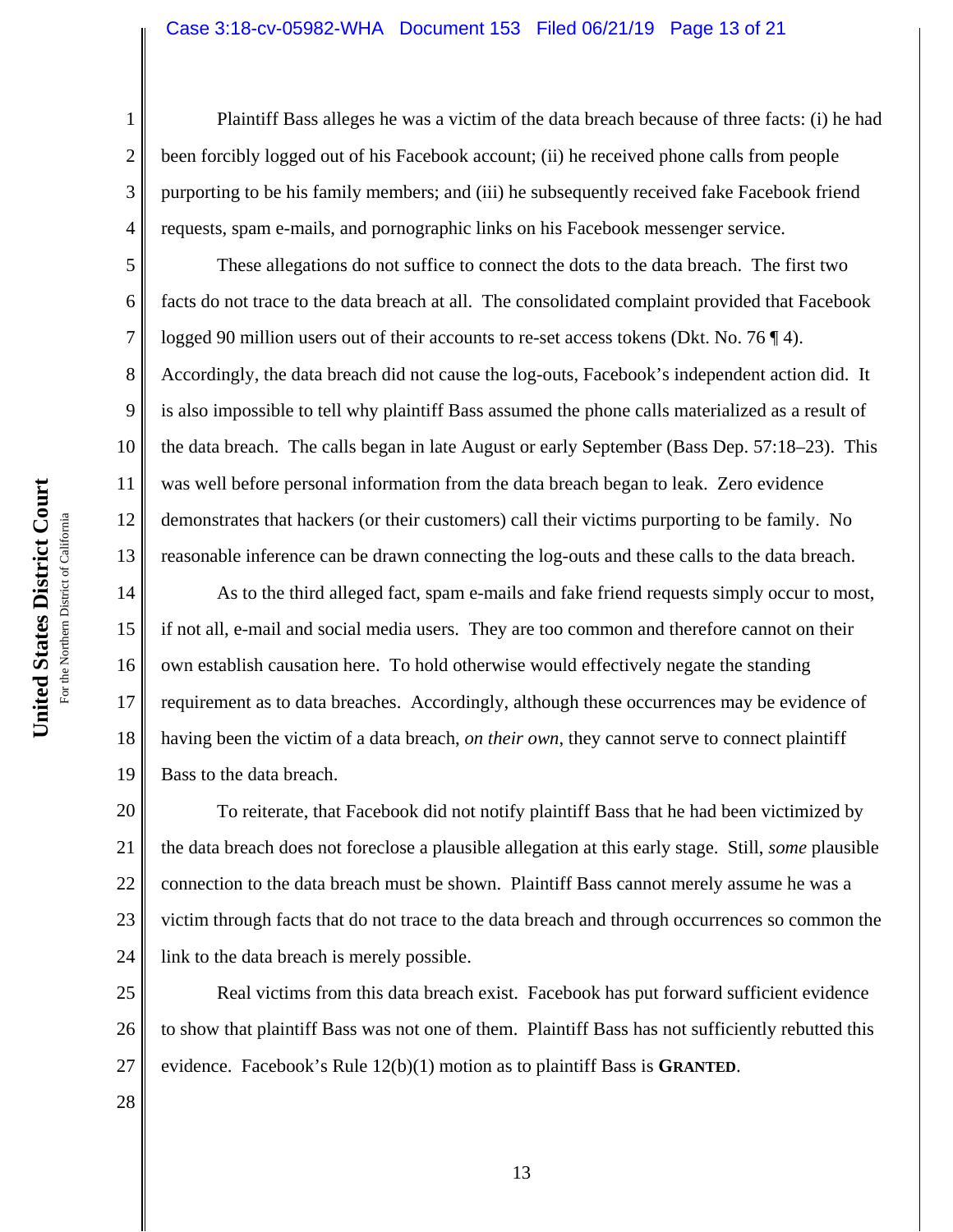#### Case 3:18-cv-05982-WHA Document 153 Filed 06/21/19 Page 13 of 21

Plaintiff Bass alleges he was a victim of the data breach because of three facts: (i) he had been forcibly logged out of his Facebook account; (ii) he received phone calls from people purporting to be his family members; and (iii) he subsequently received fake Facebook friend requests, spam e-mails, and pornographic links on his Facebook messenger service.

These allegations do not suffice to connect the dots to the data breach. The first two facts do not trace to the data breach at all. The consolidated complaint provided that Facebook logged 90 million users out of their accounts to re-set access tokens (Dkt. No. 76 ¶ 4). Accordingly, the data breach did not cause the log-outs, Facebook's independent action did. It is also impossible to tell why plaintiff Bass assumed the phone calls materialized as a result of the data breach. The calls began in late August or early September (Bass Dep. 57:18–23). This was well before personal information from the data breach began to leak. Zero evidence demonstrates that hackers (or their customers) call their victims purporting to be family. No reasonable inference can be drawn connecting the log-outs and these calls to the data breach.

14 15 16 17 18 19 As to the third alleged fact, spam e-mails and fake friend requests simply occur to most, if not all, e-mail and social media users. They are too common and therefore cannot on their own establish causation here. To hold otherwise would effectively negate the standing requirement as to data breaches. Accordingly, although these occurrences may be evidence of having been the victim of a data breach, *on their own*, they cannot serve to connect plaintiff Bass to the data breach.

20 21 22 23 24 To reiterate, that Facebook did not notify plaintiff Bass that he had been victimized by the data breach does not foreclose a plausible allegation at this early stage. Still, *some* plausible connection to the data breach must be shown. Plaintiff Bass cannot merely assume he was a victim through facts that do not trace to the data breach and through occurrences so common the link to the data breach is merely possible.

25 26 27 Real victims from this data breach exist. Facebook has put forward sufficient evidence to show that plaintiff Bass was not one of them. Plaintiff Bass has not sufficiently rebutted this evidence. Facebook's Rule 12(b)(1) motion as to plaintiff Bass is **GRANTED**.

1

2

3

4

5

6

7

8

9

10

11

12

13

28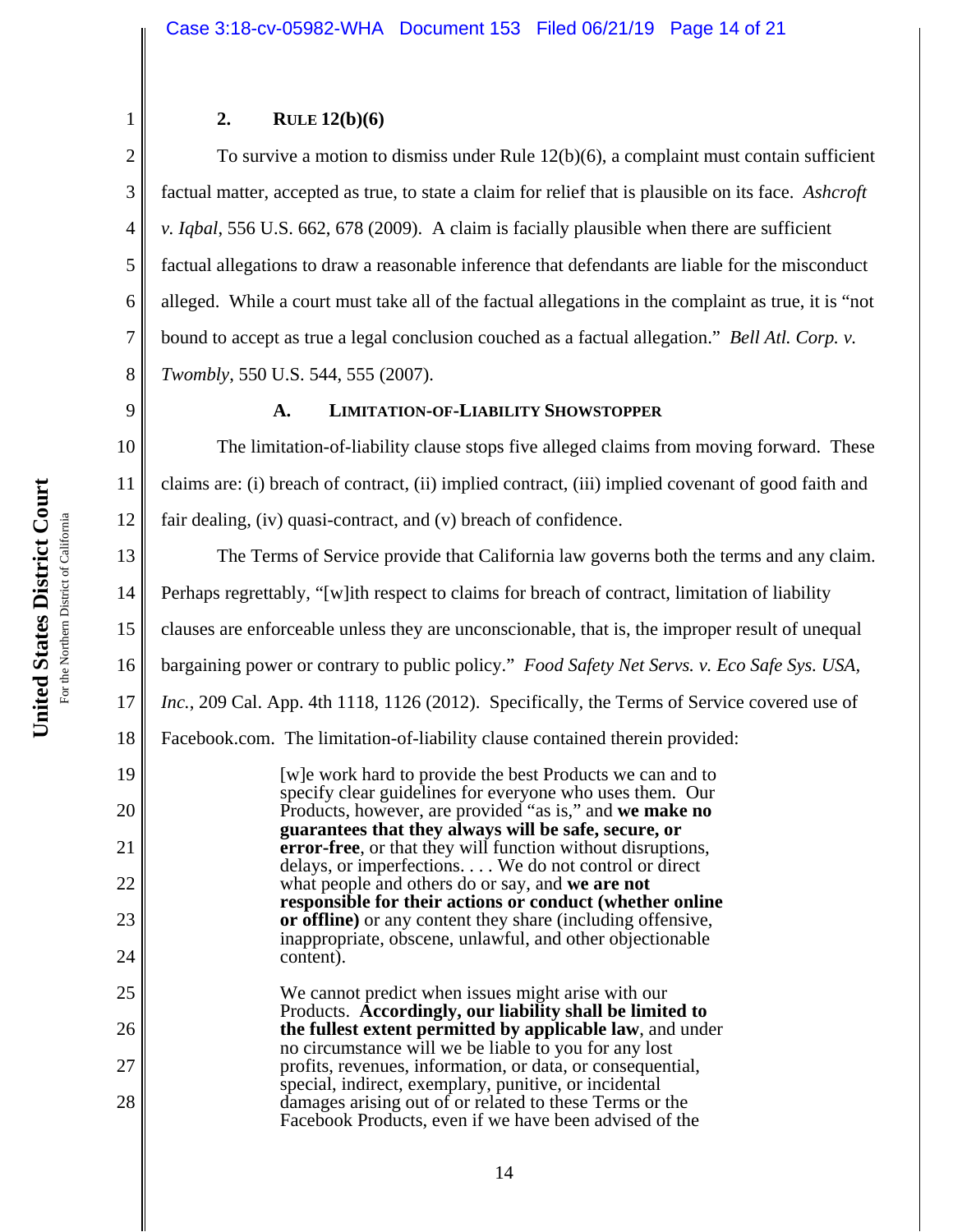## **2. RULE 12(b)(6)**

2 3 4 5 6 7 8 To survive a motion to dismiss under Rule 12(b)(6), a complaint must contain sufficient factual matter, accepted as true, to state a claim for relief that is plausible on its face. *Ashcroft v. Iqbal*, 556 U.S. 662, 678 (2009). A claim is facially plausible when there are sufficient factual allegations to draw a reasonable inference that defendants are liable for the misconduct alleged. While a court must take all of the factual allegations in the complaint as true, it is "not bound to accept as true a legal conclusion couched as a factual allegation." *Bell Atl. Corp. v. Twombly*, 550 U.S. 544, 555 (2007).

9

1

## **A. LIMITATION-OF-LIABILITY SHOWSTOPPER**

10 11 12 The limitation-of-liability clause stops five alleged claims from moving forward. These claims are: (i) breach of contract, (ii) implied contract, (iii) implied covenant of good faith and fair dealing, (iv) quasi-contract, and (v) breach of confidence.

13 14 15 16 17 18 19 20 21 22 23 24 25 26 The Terms of Service provide that California law governs both the terms and any claim. Perhaps regrettably, "[w]ith respect to claims for breach of contract, limitation of liability clauses are enforceable unless they are unconscionable, that is, the improper result of unequal bargaining power or contrary to public policy." *Food Safety Net Servs. v. Eco Safe Sys. USA, Inc.*, 209 Cal. App. 4th 1118, 1126 (2012). Specifically, the Terms of Service covered use of Facebook.com. The limitation-of-liability clause contained therein provided: [w]e work hard to provide the best Products we can and to specify clear guidelines for everyone who uses them. Our Products, however, are provided "as is," and **we make no guarantees that they always will be safe, secure, or error-free**, or that they will function without disruptions, delays, or imperfections. . . . We do not control or direct what people and others do or say, and **we are not responsible for their actions or conduct (whether online or offline)** or any content they share (including offensive, inappropriate, obscene, unlawful, and other objectionable content). We cannot predict when issues might arise with our Products. **Accordingly, our liability shall be limited to the fullest extent permitted by applicable law**, and under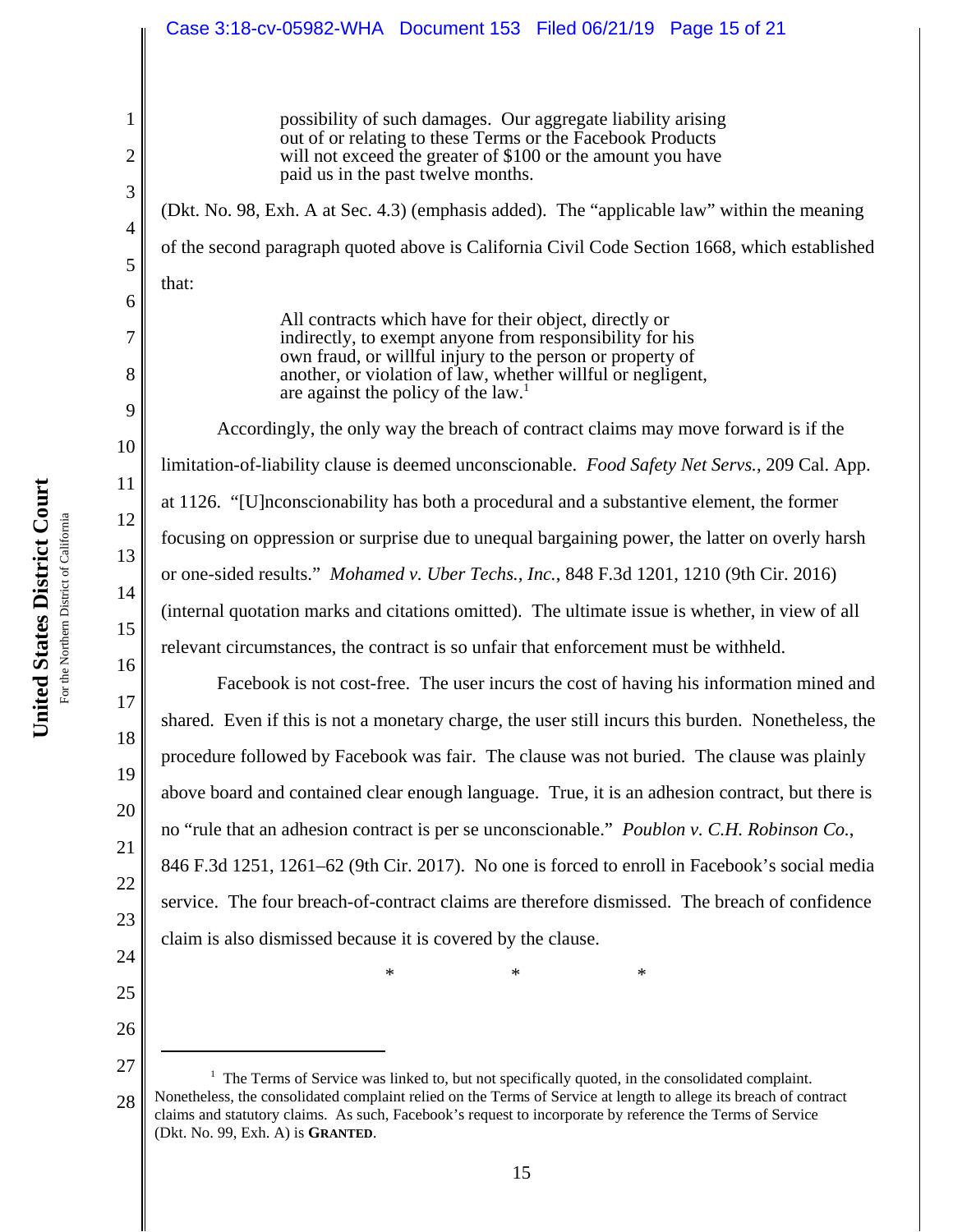## Case 3:18-cv-05982-WHA Document 153 Filed 06/21/19 Page 15 of 21

possibility of such damages. Our aggregate liability arising out of or relating to these Terms or the Facebook Products will not exceed the greater of \$100 or the amount you have paid us in the past twelve months.

(Dkt. No. 98, Exh. A at Sec. 4.3) (emphasis added). The "applicable law" within the meaning of the second paragraph quoted above is California Civil Code Section 1668, which established that:

> All contracts which have for their object, directly or indirectly, to exempt anyone from responsibility for his own fraud, or willful injury to the person or property of another, or violation of law, whether willful or negligent, are against the policy of the law.<sup>1</sup>

 Accordingly, the only way the breach of contract claims may move forward is if the limitation-of-liability clause is deemed unconscionable. *Food Safety Net Servs.*, 209 Cal. App. at 1126. "[U]nconscionability has both a procedural and a substantive element, the former focusing on oppression or surprise due to unequal bargaining power, the latter on overly harsh or one-sided results." *Mohamed v. Uber Techs., Inc.*, 848 F.3d 1201, 1210 (9th Cir. 2016) (internal quotation marks and citations omitted). The ultimate issue is whether, in view of all relevant circumstances, the contract is so unfair that enforcement must be withheld.

Facebook is not cost-free. The user incurs the cost of having his information mined and shared. Even if this is not a monetary charge, the user still incurs this burden. Nonetheless, the procedure followed by Facebook was fair. The clause was not buried. The clause was plainly above board and contained clear enough language. True, it is an adhesion contract, but there is no "rule that an adhesion contract is per se unconscionable." *Poublon v. C.H. Robinson Co.*, 846 F.3d 1251, 1261–62 (9th Cir. 2017). No one is forced to enroll in Facebook's social media service. The four breach-of-contract claims are therefore dismissed. The breach of confidence claim is also dismissed because it is covered by the clause.

 $*$  \*  $*$  \*

1

2

3

4

5

6

7

8

9

10

11

12

13

14

15

16

17

18

19

20

21

22

23

24

25

<sup>27</sup> 28 <sup>1</sup> The Terms of Service was linked to, but not specifically quoted, in the consolidated complaint. Nonetheless, the consolidated complaint relied on the Terms of Service at length to allege its breach of contract claims and statutory claims. As such, Facebook's request to incorporate by reference the Terms of Service (Dkt. No. 99, Exh. A) is **GRANTED**.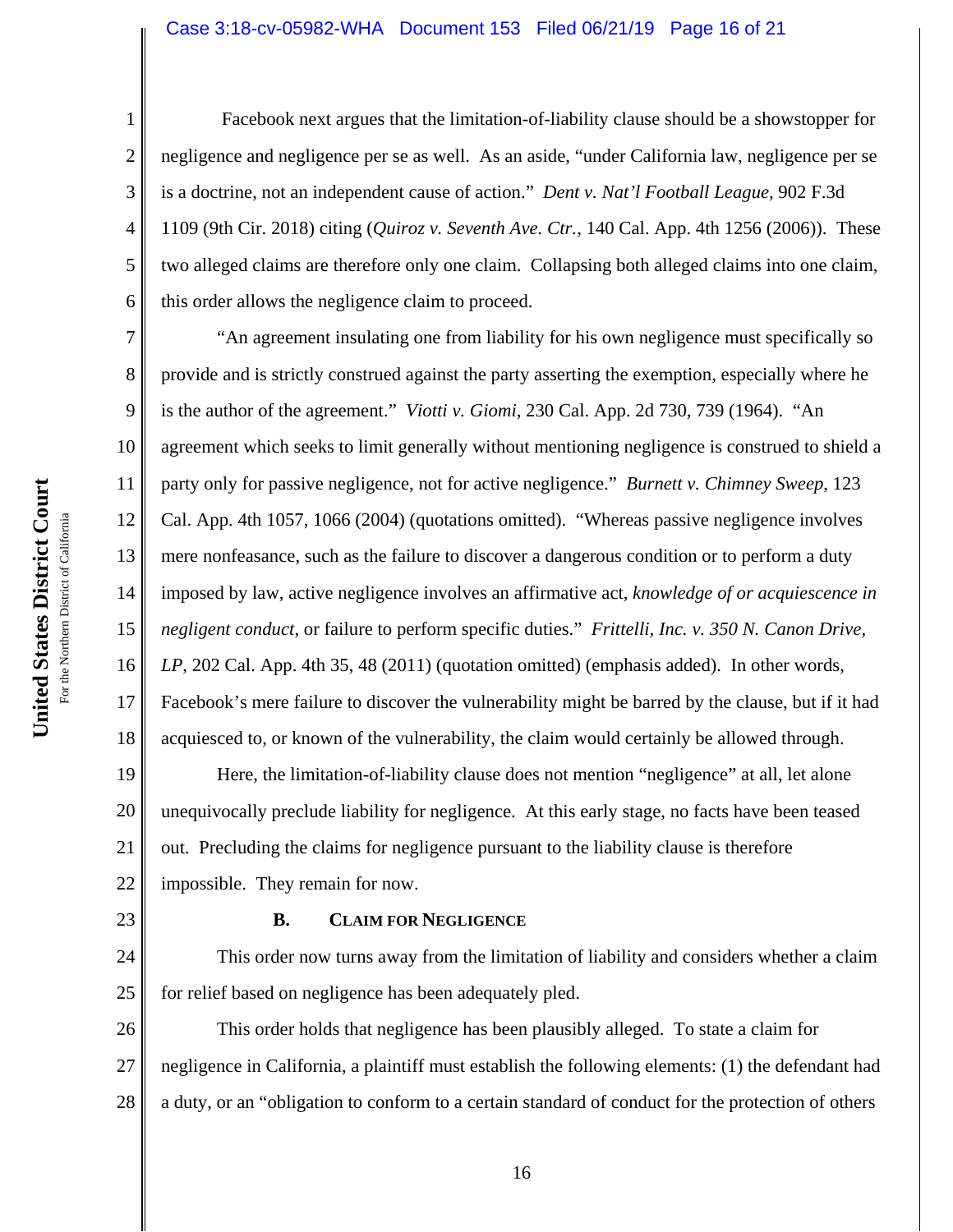#### Case 3:18-cv-05982-WHA Document 153 Filed 06/21/19 Page 16 of 21

 Facebook next argues that the limitation-of-liability clause should be a showstopper for negligence and negligence per se as well. As an aside, "under California law, negligence per se is a doctrine, not an independent cause of action." *Dent v. Nat'l Football League*, 902 F.3d 1109 (9th Cir. 2018) citing (*Quiroz v. Seventh Ave. Ctr.*, 140 Cal. App. 4th 1256 (2006)). These two alleged claims are therefore only one claim. Collapsing both alleged claims into one claim, this order allows the negligence claim to proceed.

13 16 "An agreement insulating one from liability for his own negligence must specifically so provide and is strictly construed against the party asserting the exemption, especially where he is the author of the agreement." *Viotti v. Giomi*, 230 Cal. App. 2d 730, 739 (1964). "An agreement which seeks to limit generally without mentioning negligence is construed to shield a party only for passive negligence, not for active negligence." *Burnett v. Chimney Sweep*, 123 Cal. App. 4th 1057, 1066 (2004) (quotations omitted). "Whereas passive negligence involves mere nonfeasance, such as the failure to discover a dangerous condition or to perform a duty imposed by law, active negligence involves an affirmative act, *knowledge of or acquiescence in negligent conduct*, or failure to perform specific duties." *Frittelli, Inc. v. 350 N. Canon Drive, LP*, 202 Cal. App. 4th 35, 48 (2011) (quotation omitted) (emphasis added). In other words, Facebook's mere failure to discover the vulnerability might be barred by the clause, but if it had acquiesced to, or known of the vulnerability, the claim would certainly be allowed through.

19 20 21 22 Here, the limitation-of-liability clause does not mention "negligence" at all, let alone unequivocally preclude liability for negligence. At this early stage, no facts have been teased out. Precluding the claims for negligence pursuant to the liability clause is therefore impossible. They remain for now.

#### **B. CLAIM FOR NEGLIGENCE**

24 25 This order now turns away from the limitation of liability and considers whether a claim for relief based on negligence has been adequately pled.

26 27 28 This order holds that negligence has been plausibly alleged. To state a claim for negligence in California, a plaintiff must establish the following elements: (1) the defendant had a duty, or an "obligation to conform to a certain standard of conduct for the protection of others

1

2

3

4

5

6

7

8

9

10

11

12

14

15

17

18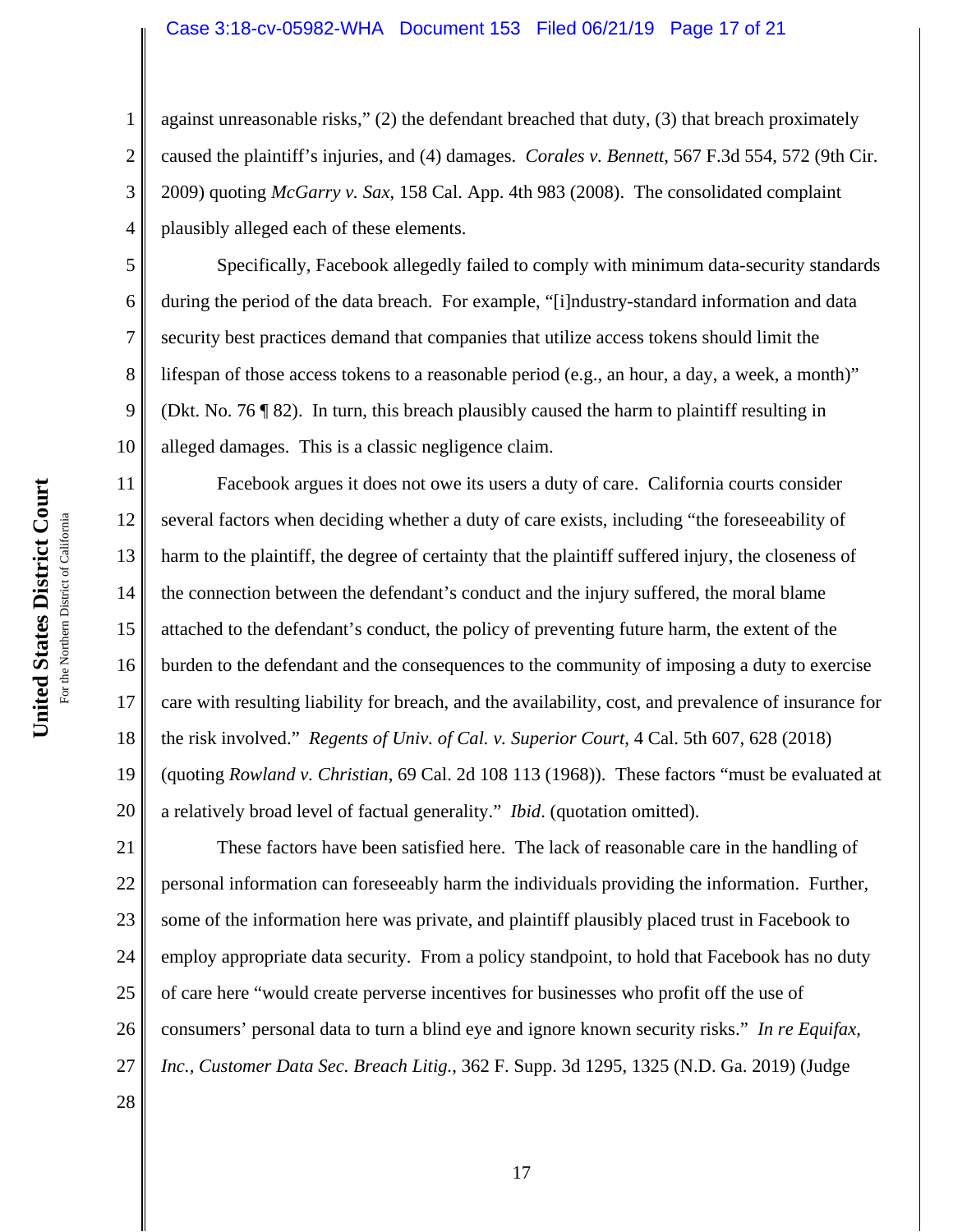#### Case 3:18-cv-05982-WHA Document 153 Filed 06/21/19 Page 17 of 21

against unreasonable risks," (2) the defendant breached that duty, (3) that breach proximately caused the plaintiff's injuries, and (4) damages. *Corales v. Bennett*, 567 F.3d 554, 572 (9th Cir. 2009) quoting *McGarry v. Sax*, 158 Cal. App. 4th 983 (2008). The consolidated complaint plausibly alleged each of these elements.

Specifically, Facebook allegedly failed to comply with minimum data-security standards during the period of the data breach. For example, "[i]ndustry-standard information and data security best practices demand that companies that utilize access tokens should limit the lifespan of those access tokens to a reasonable period (e.g., an hour, a day, a week, a month)" (Dkt. No. 76 ¶ 82). In turn, this breach plausibly caused the harm to plaintiff resulting in alleged damages. This is a classic negligence claim.

11 12 13 14 15 16 17 18 19 20 Facebook argues it does not owe its users a duty of care. California courts consider several factors when deciding whether a duty of care exists, including "the foreseeability of harm to the plaintiff, the degree of certainty that the plaintiff suffered injury, the closeness of the connection between the defendant's conduct and the injury suffered, the moral blame attached to the defendant's conduct, the policy of preventing future harm, the extent of the burden to the defendant and the consequences to the community of imposing a duty to exercise care with resulting liability for breach, and the availability, cost, and prevalence of insurance for the risk involved." *Regents of Univ. of Cal. v. Superior Court*, 4 Cal. 5th 607, 628 (2018) (quoting *Rowland v. Christian*, 69 Cal. 2d 108 113 (1968)). These factors "must be evaluated at a relatively broad level of factual generality." *Ibid*. (quotation omitted).

21 22 23 24 25 26 27 These factors have been satisfied here. The lack of reasonable care in the handling of personal information can foreseeably harm the individuals providing the information. Further, some of the information here was private, and plaintiff plausibly placed trust in Facebook to employ appropriate data security. From a policy standpoint, to hold that Facebook has no duty of care here "would create perverse incentives for businesses who profit off the use of consumers' personal data to turn a blind eye and ignore known security risks." *In re Equifax, Inc., Customer Data Sec. Breach Litig.*, 362 F. Supp. 3d 1295, 1325 (N.D. Ga. 2019) (Judge

1

2

3

4

5

6

7

8

9

10

28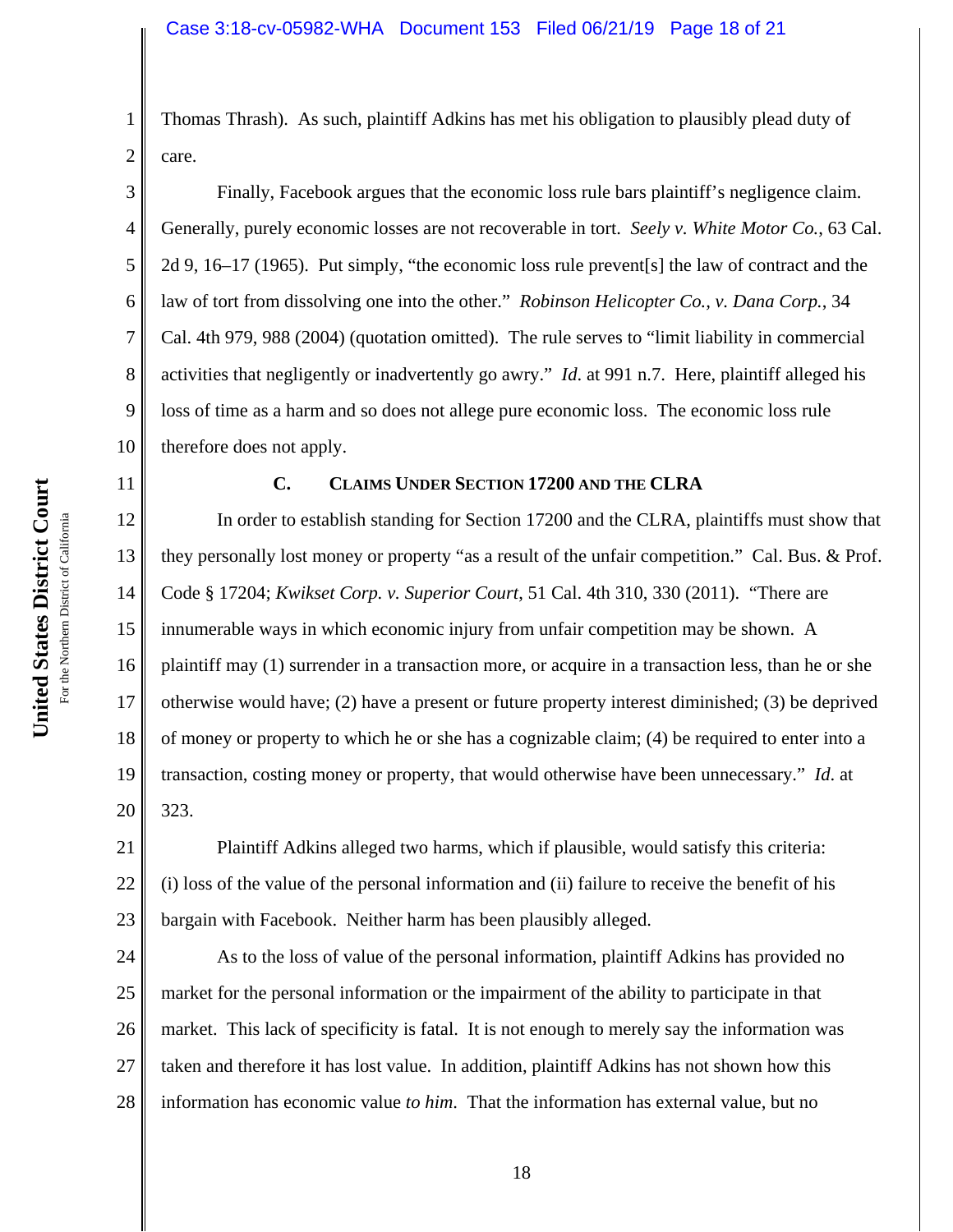Thomas Thrash). As such, plaintiff Adkins has met his obligation to plausibly plead duty of care.

3 4 5 6 7 8 9 10 Finally, Facebook argues that the economic loss rule bars plaintiff's negligence claim. Generally, purely economic losses are not recoverable in tort. *Seely v. White Motor Co.*, 63 Cal. 2d 9, 16–17 (1965). Put simply, "the economic loss rule prevent[s] the law of contract and the law of tort from dissolving one into the other." *Robinson Helicopter Co., v. Dana Corp.*, 34 Cal. 4th 979, 988 (2004) (quotation omitted). The rule serves to "limit liability in commercial activities that negligently or inadvertently go awry." *Id*. at 991 n.7. Here, plaintiff alleged his loss of time as a harm and so does not allege pure economic loss. The economic loss rule therefore does not apply.

## **C. CLAIMS UNDER SECTION 17200 AND THE CLRA**

12 13 14 15 16 17 18 19 20 In order to establish standing for Section 17200 and the CLRA, plaintiffs must show that they personally lost money or property "as a result of the unfair competition." Cal. Bus. & Prof. Code § 17204; *Kwikset Corp. v. Superior Court*, 51 Cal. 4th 310, 330 (2011). "There are innumerable ways in which economic injury from unfair competition may be shown. A plaintiff may (1) surrender in a transaction more, or acquire in a transaction less, than he or she otherwise would have; (2) have a present or future property interest diminished; (3) be deprived of money or property to which he or she has a cognizable claim; (4) be required to enter into a transaction, costing money or property, that would otherwise have been unnecessary." *Id*. at 323.

21 22 23 Plaintiff Adkins alleged two harms, which if plausible, would satisfy this criteria: (i) loss of the value of the personal information and (ii) failure to receive the benefit of his bargain with Facebook. Neither harm has been plausibly alleged.

24 25 26 27 28 As to the loss of value of the personal information, plaintiff Adkins has provided no market for the personal information or the impairment of the ability to participate in that market. This lack of specificity is fatal. It is not enough to merely say the information was taken and therefore it has lost value. In addition, plaintiff Adkins has not shown how this information has economic value *to him*. That the information has external value, but no

1

2

11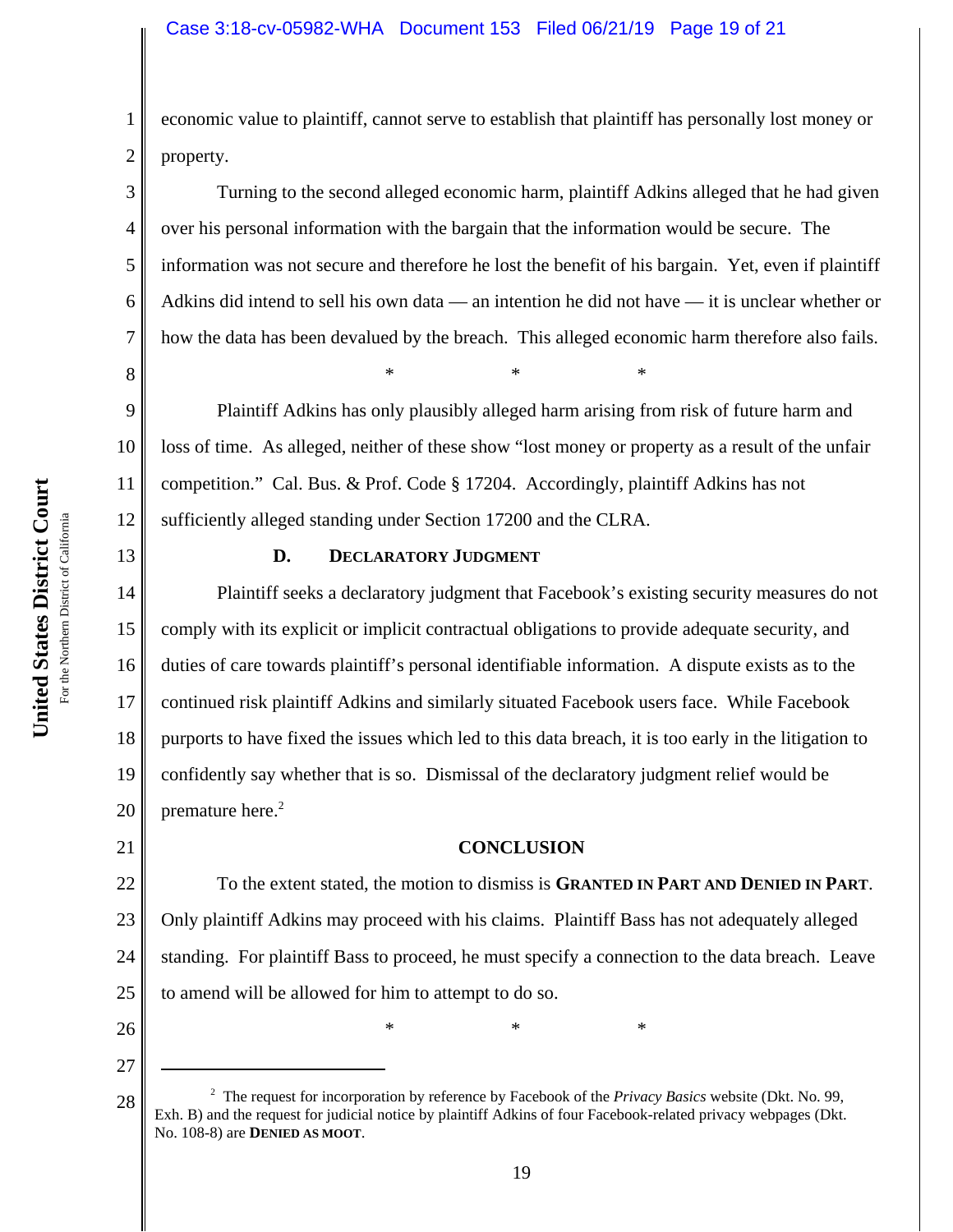economic value to plaintiff, cannot serve to establish that plaintiff has personally lost money or property.

Turning to the second alleged economic harm, plaintiff Adkins alleged that he had given over his personal information with the bargain that the information would be secure. The information was not secure and therefore he lost the benefit of his bargain. Yet, even if plaintiff Adkins did intend to sell his own data — an intention he did not have — it is unclear whether or how the data has been devalued by the breach. This alleged economic harm therefore also fails.  $*$  \*  $*$  \*

9 10 11 12 Plaintiff Adkins has only plausibly alleged harm arising from risk of future harm and loss of time. As alleged, neither of these show "lost money or property as a result of the unfair competition." Cal. Bus. & Prof. Code § 17204. Accordingly, plaintiff Adkins has not sufficiently alleged standing under Section 17200 and the CLRA.

## **D. DECLARATORY JUDGMENT**

14 15 16 17 18 19 20 Plaintiff seeks a declaratory judgment that Facebook's existing security measures do not comply with its explicit or implicit contractual obligations to provide adequate security, and duties of care towards plaintiff's personal identifiable information. A dispute exists as to the continued risk plaintiff Adkins and similarly situated Facebook users face. While Facebook purports to have fixed the issues which led to this data breach, it is too early in the litigation to confidently say whether that is so. Dismissal of the declaratory judgment relief would be premature here.<sup>2</sup>

## **CONCLUSION**

22 23 24 25 To the extent stated, the motion to dismiss is **GRANTED IN PART AND DENIED IN PART**. Only plaintiff Adkins may proceed with his claims. Plaintiff Bass has not adequately alleged standing. For plaintiff Bass to proceed, he must specify a connection to the data breach. Leave to amend will be allowed for him to attempt to do so.

 $*$  \*  $*$  \*

26 27

21

1

2

3

4

5

6

7

8

<sup>28</sup> Exh. B) and the request for incorporation by reference by Facebook of the *Privacy Basics* website (Dkt. No. 99, Exh. B) and the request for judicial notice by plaintiff Adkins of four Facebook-related privacy webpages The request for incorporation by reference by Facebook of the *Privacy Basics* website (Dkt. No. 99, No. 108-8) are **DENIED AS MOOT**.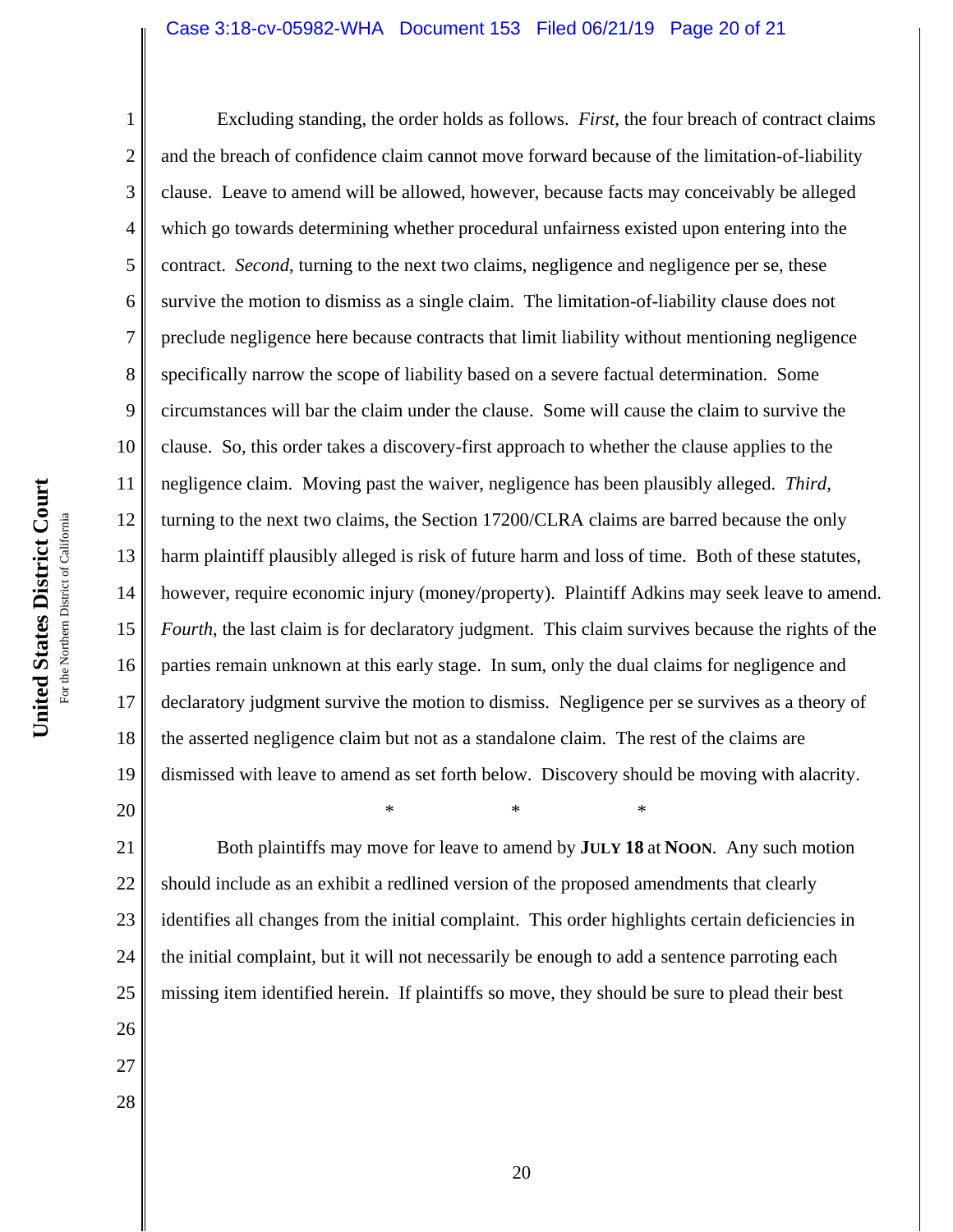#### Case 3:18-cv-05982-WHA Document 153 Filed 06/21/19 Page 20 of 21

1 2 3 4 5 6 7 8 9 10 11 12 13 14 15 16 17 18 19 20 Excluding standing, the order holds as follows. *First*, the four breach of contract claims and the breach of confidence claim cannot move forward because of the limitation-of-liability clause. Leave to amend will be allowed, however, because facts may conceivably be alleged which go towards determining whether procedural unfairness existed upon entering into the contract. *Second*, turning to the next two claims, negligence and negligence per se, these survive the motion to dismiss as a single claim. The limitation-of-liability clause does not preclude negligence here because contracts that limit liability without mentioning negligence specifically narrow the scope of liability based on a severe factual determination. Some circumstances will bar the claim under the clause. Some will cause the claim to survive the clause. So, this order takes a discovery-first approach to whether the clause applies to the negligence claim. Moving past the waiver, negligence has been plausibly alleged. *Third*, turning to the next two claims, the Section 17200/CLRA claims are barred because the only harm plaintiff plausibly alleged is risk of future harm and loss of time. Both of these statutes, however, require economic injury (money/property). Plaintiff Adkins may seek leave to amend. *Fourth*, the last claim is for declaratory judgment. This claim survives because the rights of the parties remain unknown at this early stage. In sum, only the dual claims for negligence and declaratory judgment survive the motion to dismiss. Negligence per se survives as a theory of the asserted negligence claim but not as a standalone claim. The rest of the claims are dismissed with leave to amend as set forth below. Discovery should be moving with alacrity.  $*$  \*  $*$  \*

21 22 23 24 25 Both plaintiffs may move for leave to amend by **JULY 18** at **NOON**. Any such motion should include as an exhibit a redlined version of the proposed amendments that clearly identifies all changes from the initial complaint. This order highlights certain deficiencies in the initial complaint, but it will not necessarily be enough to add a sentence parroting each missing item identified herein. If plaintiffs so move, they should be sure to plead their best

- 26 27
- 28